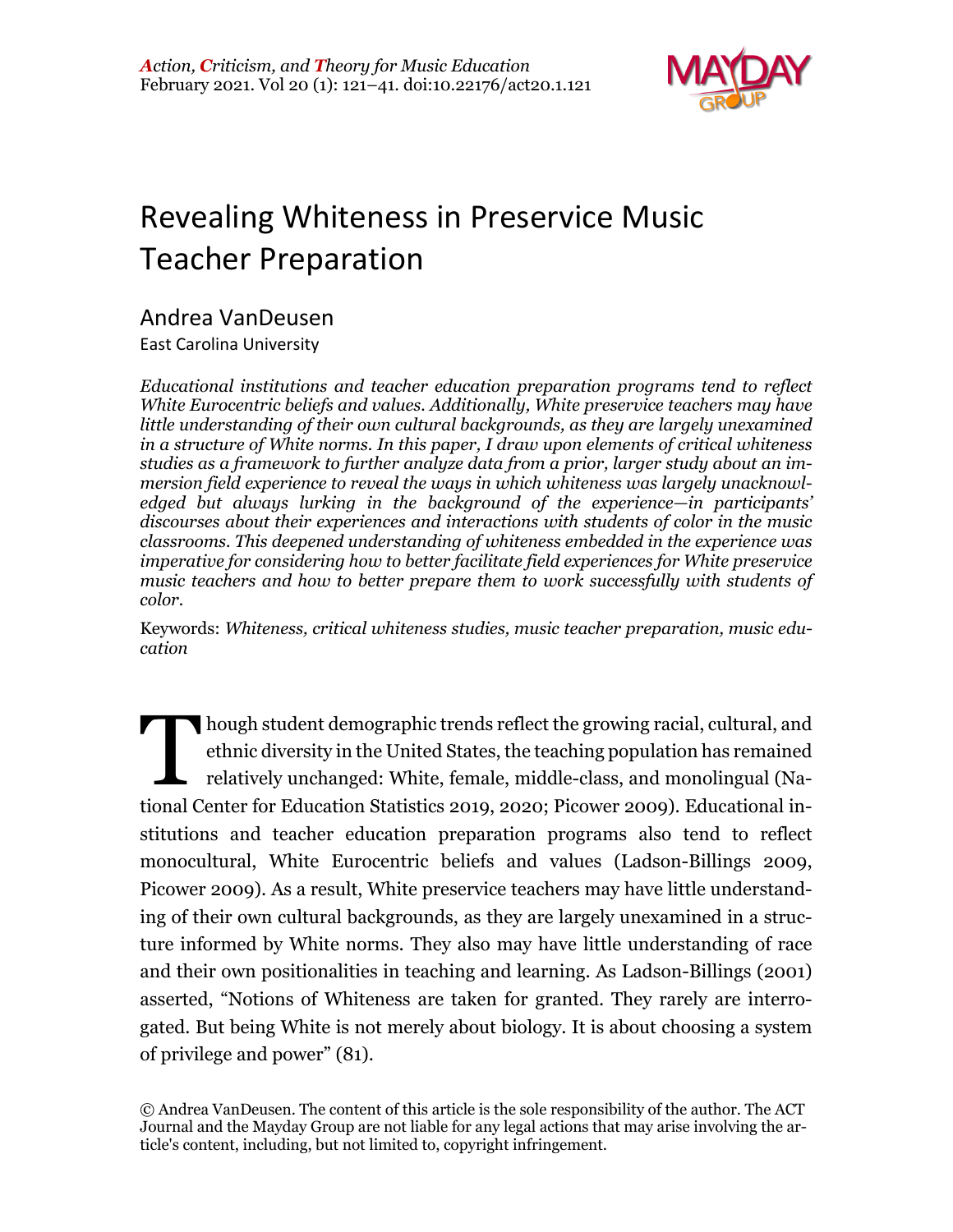

# Revealing Whiteness in Preservice Music Teacher Preparation

# Andrea VanDeusen

East Carolina University

*Educational institutions and teacher education preparation programs tend to reflect White Eurocentric beliefs and values. Additionally, White preservice teachers may have little understanding of their own cultural backgrounds, as they are largely unexamined in a structure of White norms. In this paper, I draw upon elements of critical whiteness studies as a framework to further analyze data from a prior, larger study about an immersion field experience to reveal the ways in which whiteness was largely unacknowledged but always lurking in the background of the experience—in participants' discourses about their experiences and interactions with students of color in the music classrooms. This deepened understanding of whiteness embedded in the experience was imperative for considering how to better facilitate field experiences for White preservice music teachers and how to better prepare them to work successfully with students of color.*

Keywords: *Whiteness, critical whiteness studies, music teacher preparation, music education*

hough student demographic trends reflect the growing racial, cultural, and ethnic diversity in the United States, the teaching population has remained relatively unchanged: White, female, middle-class, and monolingual (National Center for Education Statistics 2019, 2020; Picower 2009). Educational institutions and teacher education preparation programs also tend to reflect monocultural, White Eurocentric beliefs and values (Ladson-Billings 2009, Picower 2009). As a result, White preservice teachers may have little understanding of their own cultural backgrounds, as they are largely unexamined in a structure informed by White norms. They also may have little understanding of race and their own positionalities in teaching and learning. As Ladson-Billings (2001) asserted, "Notions of Whiteness are taken for granted. They rarely are interrogated. But being White is not merely about biology. It is about choosing a system of privilege and power" (81). T

© Andrea VanDeusen. The content of this article is the sole responsibility of the author. The ACT Journal and the Mayday Group are not liable for any legal actions that may arise involving the article's content, including, but not limited to, copyright infringement.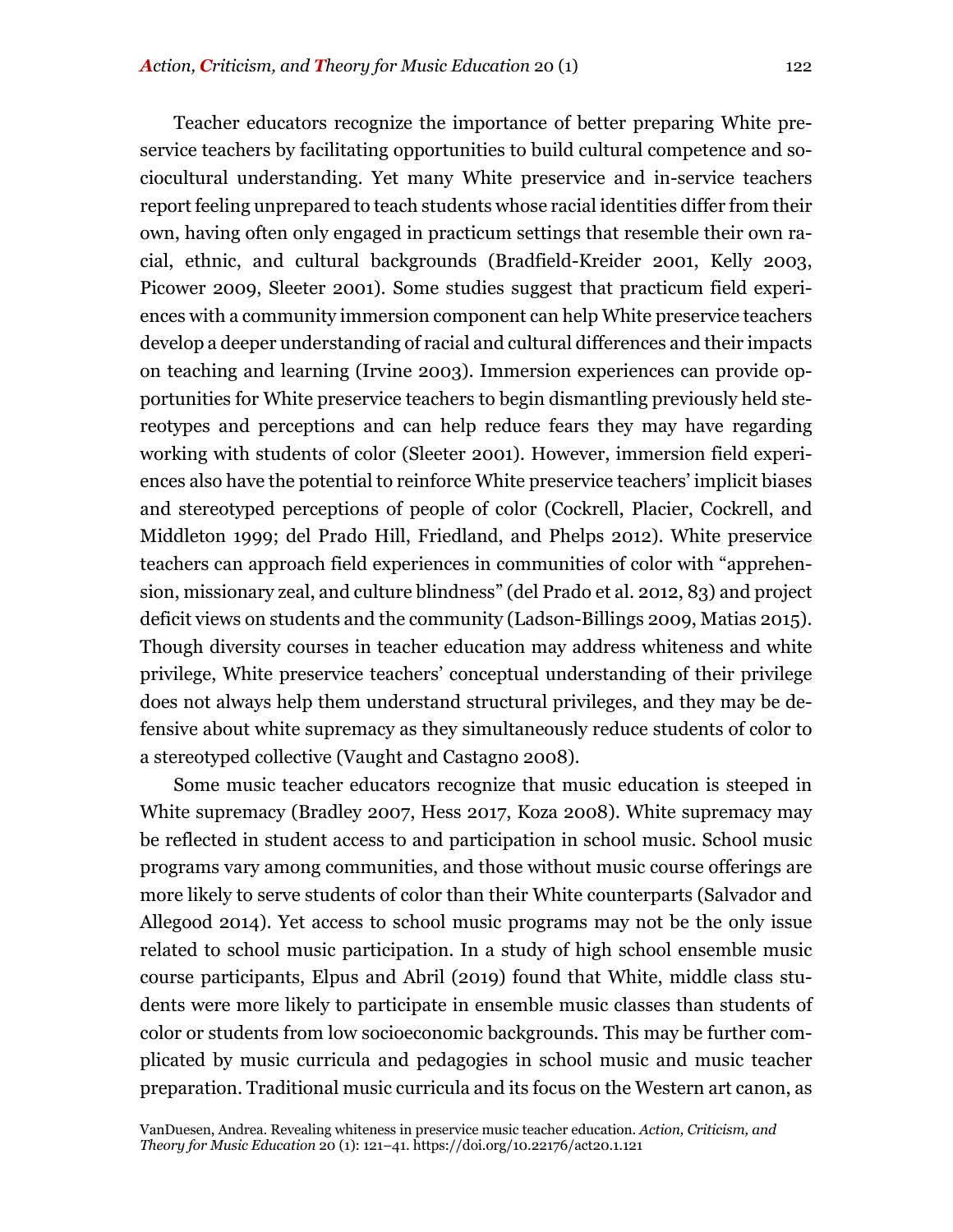Teacher educators recognize the importance of better preparing White preservice teachers by facilitating opportunities to build cultural competence and sociocultural understanding. Yet many White preservice and in-service teachers report feeling unprepared to teach students whose racial identities differ from their own, having often only engaged in practicum settings that resemble their own racial, ethnic, and cultural backgrounds (Bradfield-Kreider 2001, Kelly 2003, Picower 2009, Sleeter 2001). Some studies suggest that practicum field experiences with a community immersion component can help White preservice teachers develop a deeper understanding of racial and cultural differences and their impacts on teaching and learning (Irvine 2003). Immersion experiences can provide opportunities for White preservice teachers to begin dismantling previously held stereotypes and perceptions and can help reduce fears they may have regarding working with students of color (Sleeter 2001). However, immersion field experiences also have the potential to reinforce White preservice teachers' implicit biases and stereotyped perceptions of people of color (Cockrell, Placier, Cockrell, and Middleton 1999; del Prado Hill, Friedland, and Phelps 2012). White preservice teachers can approach field experiences in communities of color with "apprehension, missionary zeal, and culture blindness" (del Prado et al. 2012, 83) and project deficit views on students and the community (Ladson-Billings 2009, Matias 2015). Though diversity courses in teacher education may address whiteness and white privilege, White preservice teachers' conceptual understanding of their privilege does not always help them understand structural privileges, and they may be defensive about white supremacy as they simultaneously reduce students of color to a stereotyped collective (Vaught and Castagno 2008).

Some music teacher educators recognize that music education is steeped in White supremacy (Bradley 2007, Hess 2017, Koza 2008). White supremacy may be reflected in student access to and participation in school music. School music programs vary among communities, and those without music course offerings are more likely to serve students of color than their White counterparts (Salvador and Allegood 2014). Yet access to school music programs may not be the only issue related to school music participation. In a study of high school ensemble music course participants, Elpus and Abril (2019) found that White, middle class students were more likely to participate in ensemble music classes than students of color or students from low socioeconomic backgrounds. This may be further complicated by music curricula and pedagogies in school music and music teacher preparation. Traditional music curricula and its focus on the Western art canon, as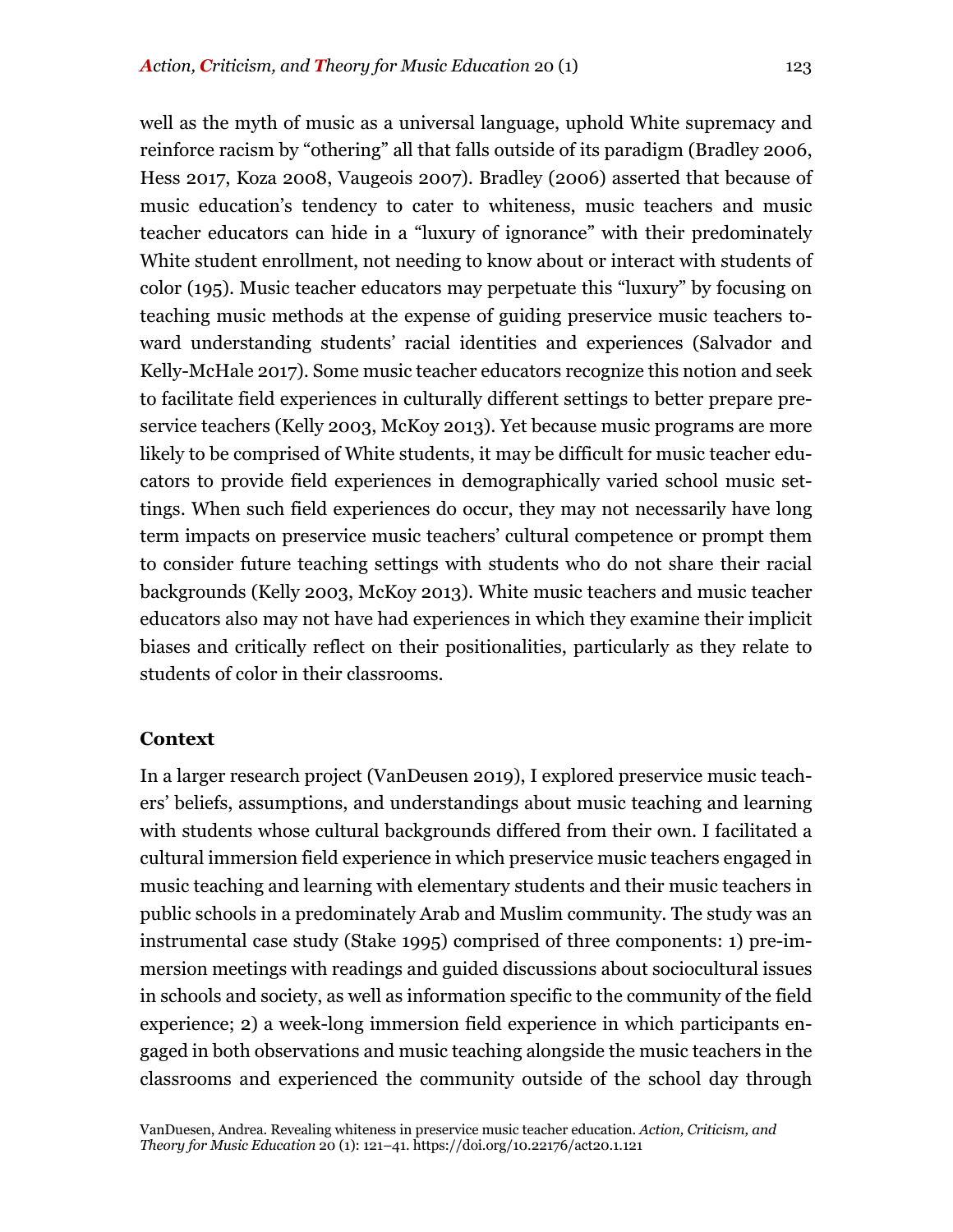well as the myth of music as a universal language, uphold White supremacy and reinforce racism by "othering" all that falls outside of its paradigm (Bradley 2006, Hess 2017, Koza 2008, Vaugeois 2007). Bradley (2006) asserted that because of music education's tendency to cater to whiteness, music teachers and music teacher educators can hide in a "luxury of ignorance" with their predominately White student enrollment, not needing to know about or interact with students of color (195). Music teacher educators may perpetuate this "luxury" by focusing on teaching music methods at the expense of guiding preservice music teachers toward understanding students' racial identities and experiences (Salvador and Kelly-McHale 2017). Some music teacher educators recognize this notion and seek to facilitate field experiences in culturally different settings to better prepare preservice teachers (Kelly 2003, McKoy 2013). Yet because music programs are more likely to be comprised of White students, it may be difficult for music teacher educators to provide field experiences in demographically varied school music settings. When such field experiences do occur, they may not necessarily have long term impacts on preservice music teachers' cultural competence or prompt them to consider future teaching settings with students who do not share their racial backgrounds (Kelly 2003, McKoy 2013). White music teachers and music teacher educators also may not have had experiences in which they examine their implicit biases and critically reflect on their positionalities, particularly as they relate to students of color in their classrooms.

#### **Context**

In a larger research project (VanDeusen 2019), I explored preservice music teachers' beliefs, assumptions, and understandings about music teaching and learning with students whose cultural backgrounds differed from their own. I facilitated a cultural immersion field experience in which preservice music teachers engaged in music teaching and learning with elementary students and their music teachers in public schools in a predominately Arab and Muslim community. The study was an instrumental case study (Stake 1995) comprised of three components: 1) pre-immersion meetings with readings and guided discussions about sociocultural issues in schools and society, as well as information specific to the community of the field experience; 2) a week-long immersion field experience in which participants engaged in both observations and music teaching alongside the music teachers in the classrooms and experienced the community outside of the school day through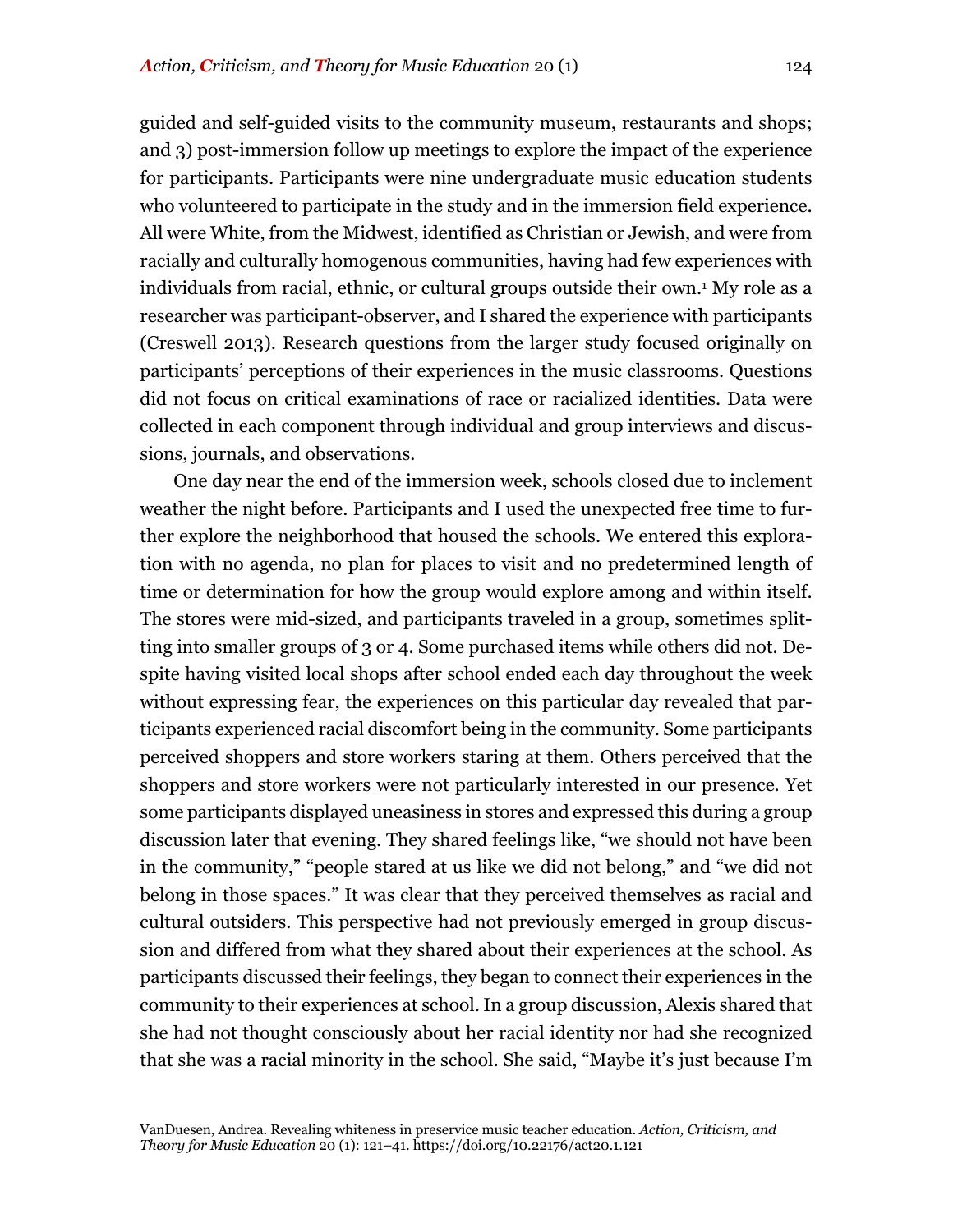guided and self-guided visits to the community museum, restaurants and shops; and 3) post-immersion follow up meetings to explore the impact of the experience for participants. Participants were nine undergraduate music education students who volunteered to participate in the study and in the immersion field experience. All were White, from the Midwest, identified as Christian or Jewish, and were from racially and culturally homogenous communities, having had few experiences with individuals from racial, ethnic, or cultural groups outside their own.1 My role as a researcher was participant-observer, and I shared the experience with participants (Creswell 2013). Research questions from the larger study focused originally on participants' perceptions of their experiences in the music classrooms. Questions did not focus on critical examinations of race or racialized identities. Data were collected in each component through individual and group interviews and discussions, journals, and observations.

One day near the end of the immersion week, schools closed due to inclement weather the night before. Participants and I used the unexpected free time to further explore the neighborhood that housed the schools. We entered this exploration with no agenda, no plan for places to visit and no predetermined length of time or determination for how the group would explore among and within itself. The stores were mid-sized, and participants traveled in a group, sometimes splitting into smaller groups of 3 or 4. Some purchased items while others did not. Despite having visited local shops after school ended each day throughout the week without expressing fear, the experiences on this particular day revealed that participants experienced racial discomfort being in the community. Some participants perceived shoppers and store workers staring at them. Others perceived that the shoppers and store workers were not particularly interested in our presence. Yet some participants displayed uneasiness in stores and expressed this during a group discussion later that evening. They shared feelings like, "we should not have been in the community," "people stared at us like we did not belong," and "we did not belong in those spaces." It was clear that they perceived themselves as racial and cultural outsiders. This perspective had not previously emerged in group discussion and differed from what they shared about their experiences at the school. As participants discussed their feelings, they began to connect their experiences in the community to their experiences at school. In a group discussion, Alexis shared that she had not thought consciously about her racial identity nor had she recognized that she was a racial minority in the school. She said, "Maybe it's just because I'm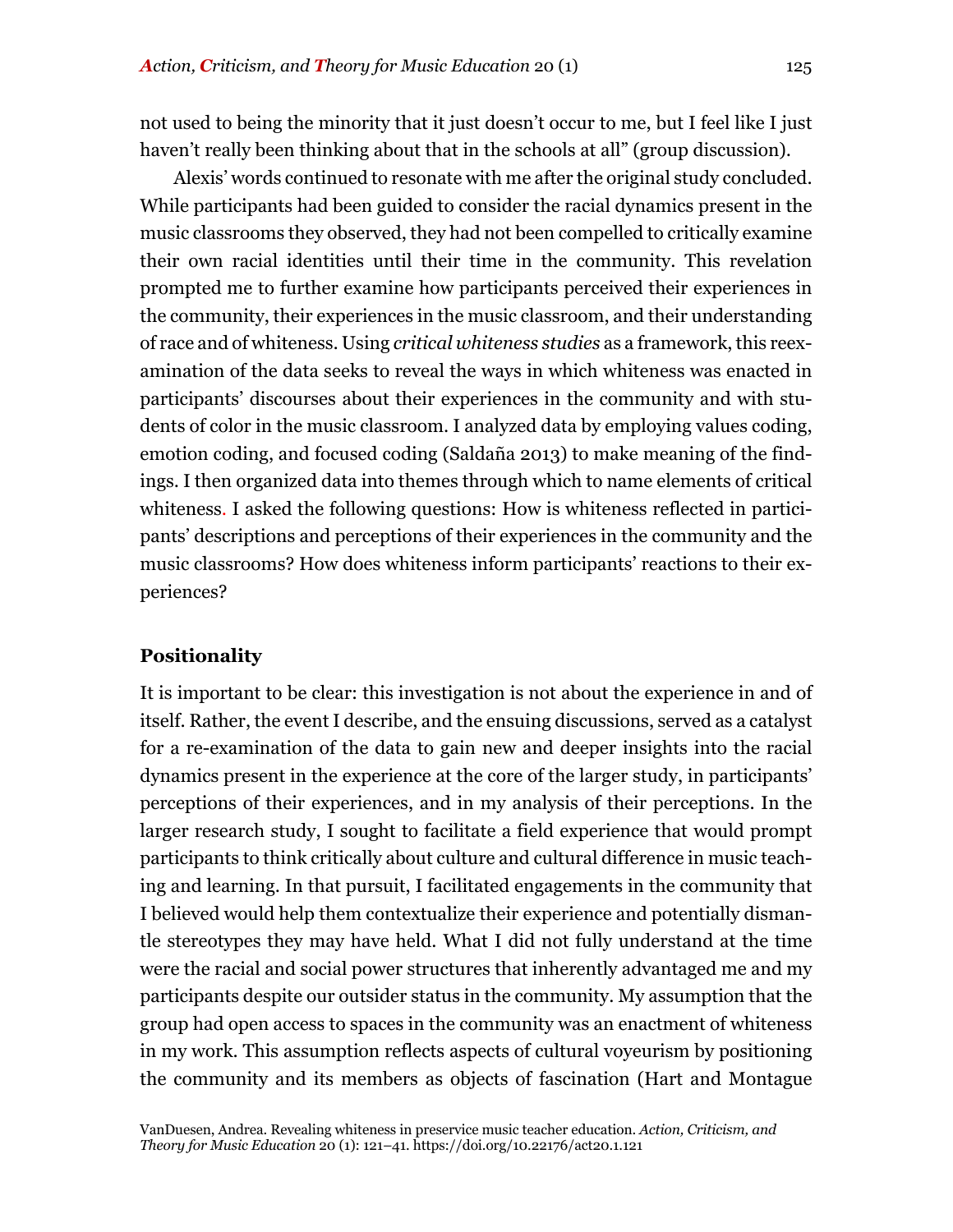not used to being the minority that it just doesn't occur to me, but I feel like I just haven't really been thinking about that in the schools at all" (group discussion).

Alexis' words continued to resonate with me after the original study concluded. While participants had been guided to consider the racial dynamics present in the music classrooms they observed, they had not been compelled to critically examine their own racial identities until their time in the community. This revelation prompted me to further examine how participants perceived their experiences in the community, their experiences in the music classroom, and their understanding of race and of whiteness*.* Using *critical whiteness studies* as a framework, this reexamination of the data seeks to reveal the ways in which whiteness was enacted in participants' discourses about their experiences in the community and with students of color in the music classroom. I analyzed data by employing values coding, emotion coding, and focused coding (Saldaña 2013) to make meaning of the findings. I then organized data into themes through which to name elements of critical whiteness. I asked the following questions: How is whiteness reflected in participants' descriptions and perceptions of their experiences in the community and the music classrooms? How does whiteness inform participants' reactions to their experiences?

## **Positionality**

It is important to be clear: this investigation is not about the experience in and of itself. Rather, the event I describe, and the ensuing discussions, served as a catalyst for a re-examination of the data to gain new and deeper insights into the racial dynamics present in the experience at the core of the larger study, in participants' perceptions of their experiences, and in my analysis of their perceptions. In the larger research study, I sought to facilitate a field experience that would prompt participants to think critically about culture and cultural difference in music teaching and learning. In that pursuit, I facilitated engagements in the community that I believed would help them contextualize their experience and potentially dismantle stereotypes they may have held. What I did not fully understand at the time were the racial and social power structures that inherently advantaged me and my participants despite our outsider status in the community. My assumption that the group had open access to spaces in the community was an enactment of whiteness in my work. This assumption reflects aspects of cultural voyeurism by positioning the community and its members as objects of fascination (Hart and Montague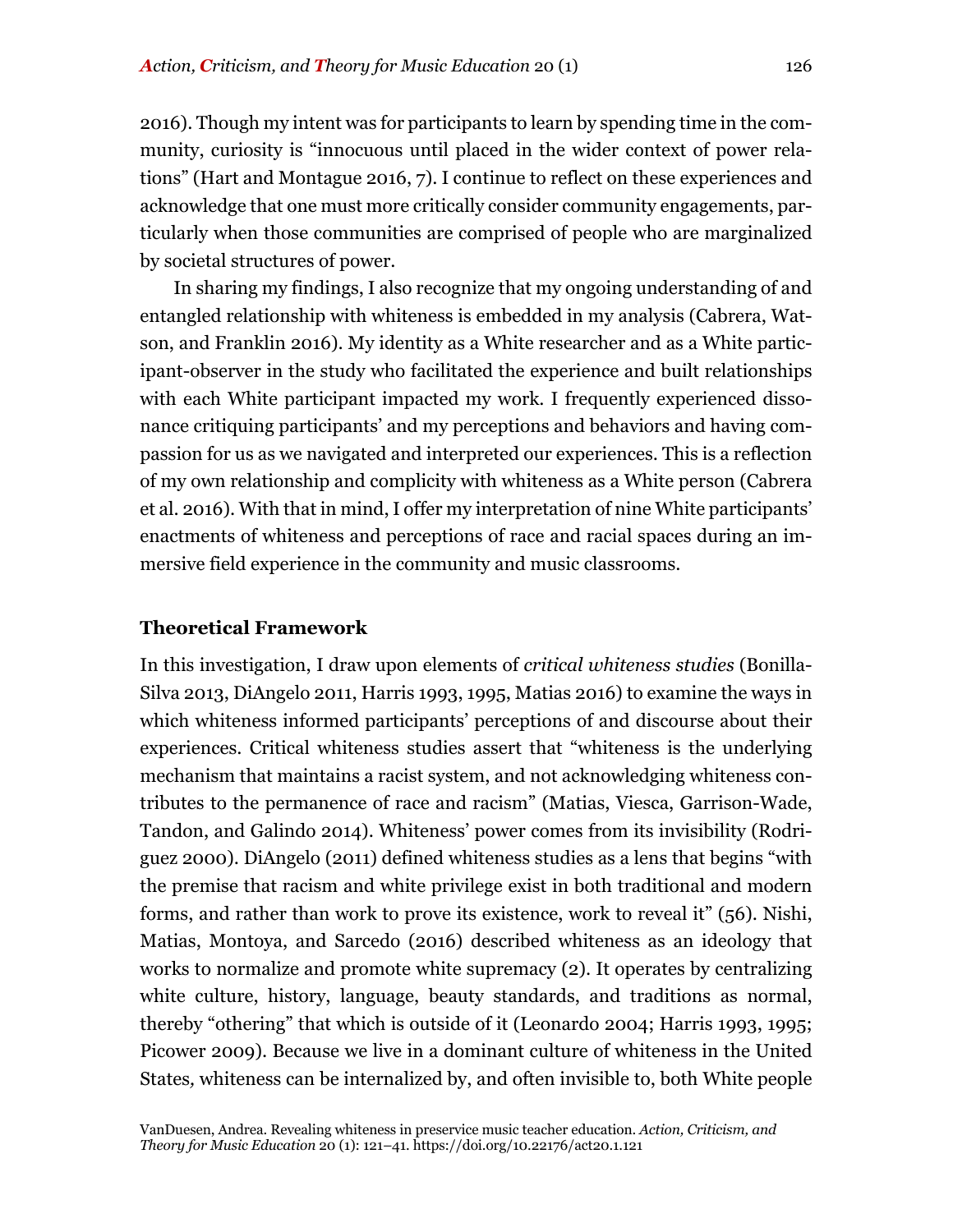2016). Though my intent was for participants to learn by spending time in the community, curiosity is "innocuous until placed in the wider context of power relations" (Hart and Montague 2016, 7). I continue to reflect on these experiences and acknowledge that one must more critically consider community engagements, particularly when those communities are comprised of people who are marginalized by societal structures of power.

In sharing my findings, I also recognize that my ongoing understanding of and entangled relationship with whiteness is embedded in my analysis (Cabrera, Watson, and Franklin 2016). My identity as a White researcher and as a White participant-observer in the study who facilitated the experience and built relationships with each White participant impacted my work. I frequently experienced dissonance critiquing participants' and my perceptions and behaviors and having compassion for us as we navigated and interpreted our experiences. This is a reflection of my own relationship and complicity with whiteness as a White person (Cabrera et al. 2016). With that in mind, I offer my interpretation of nine White participants' enactments of whiteness and perceptions of race and racial spaces during an immersive field experience in the community and music classrooms.

## **Theoretical Framework**

In this investigation, I draw upon elements of *critical whiteness studies* (Bonilla-Silva 2013, DiAngelo 2011, Harris 1993, 1995, Matias 2016) to examine the ways in which whiteness informed participants' perceptions of and discourse about their experiences. Critical whiteness studies assert that "whiteness is the underlying mechanism that maintains a racist system, and not acknowledging whiteness contributes to the permanence of race and racism" (Matias, Viesca, Garrison-Wade, Tandon, and Galindo 2014). Whiteness' power comes from its invisibility (Rodriguez 2000). DiAngelo (2011) defined whiteness studies as a lens that begins "with the premise that racism and white privilege exist in both traditional and modern forms, and rather than work to prove its existence, work to reveal it" (56). Nishi, Matias, Montoya, and Sarcedo (2016) described whiteness as an ideology that works to normalize and promote white supremacy (2). It operates by centralizing white culture, history, language, beauty standards, and traditions as normal, thereby "othering" that which is outside of it (Leonardo 2004; Harris 1993, 1995; Picower 2009). Because we live in a dominant culture of whiteness in the United States*,* whiteness can be internalized by, and often invisible to, both White people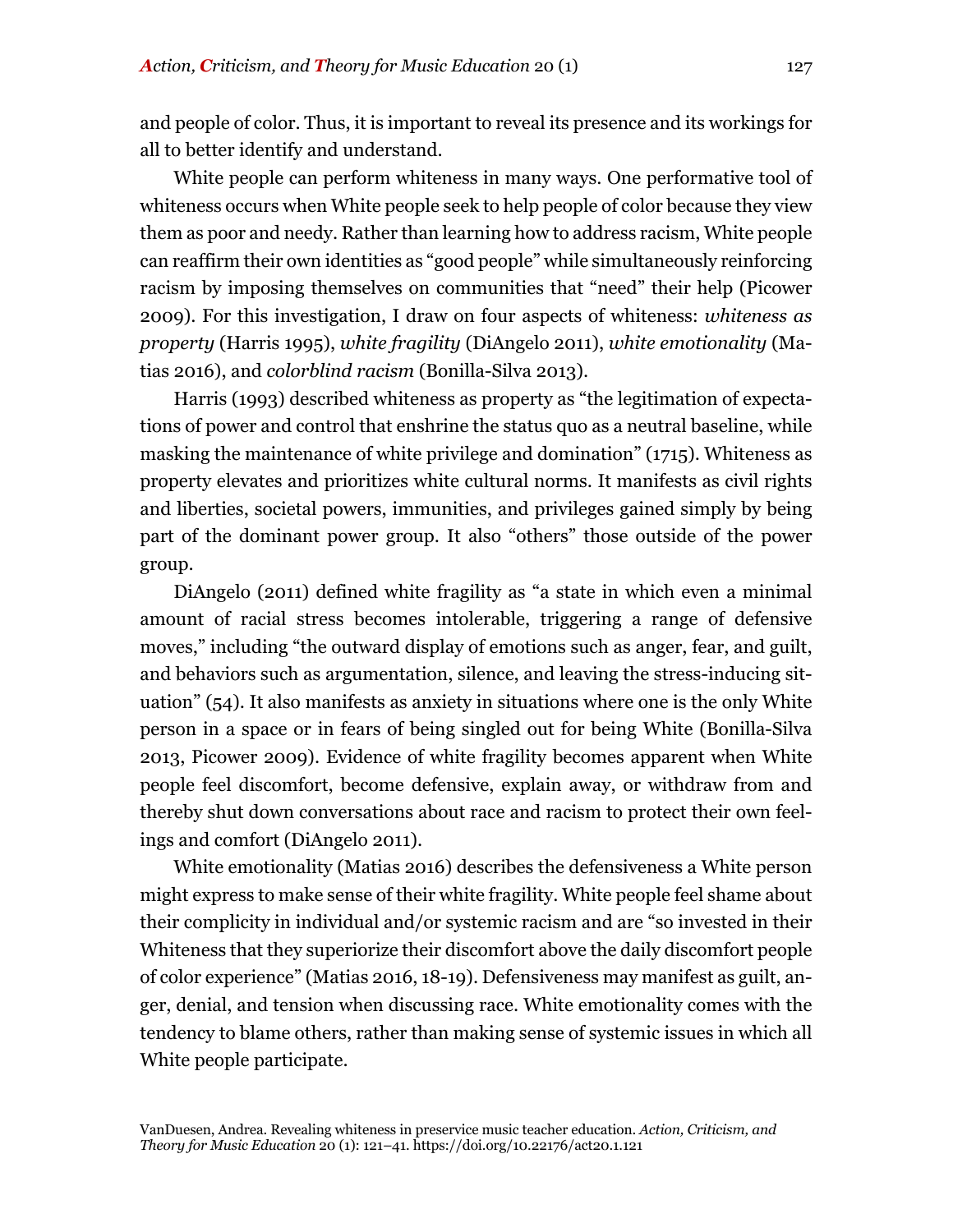and people of color. Thus, it is important to reveal its presence and its workings for all to better identify and understand.

White people can perform whiteness in many ways. One performative tool of whiteness occurs when White people seek to help people of color because they view them as poor and needy. Rather than learning how to address racism, White people can reaffirm their own identities as "good people" while simultaneously reinforcing racism by imposing themselves on communities that "need" their help (Picower 2009). For this investigation, I draw on four aspects of whiteness: *whiteness as property* (Harris 1995), *white fragility* (DiAngelo 2011), *white emotionality* (Matias 2016), and *colorblind racism* (Bonilla-Silva 2013).

Harris (1993) described whiteness as property as "the legitimation of expectations of power and control that enshrine the status quo as a neutral baseline, while masking the maintenance of white privilege and domination" (1715). Whiteness as property elevates and prioritizes white cultural norms. It manifests as civil rights and liberties, societal powers, immunities, and privileges gained simply by being part of the dominant power group. It also "others" those outside of the power group.

DiAngelo (2011) defined white fragility as "a state in which even a minimal amount of racial stress becomes intolerable, triggering a range of defensive moves," including "the outward display of emotions such as anger, fear, and guilt, and behaviors such as argumentation, silence, and leaving the stress-inducing situation" (54). It also manifests as anxiety in situations where one is the only White person in a space or in fears of being singled out for being White (Bonilla-Silva 2013, Picower 2009). Evidence of white fragility becomes apparent when White people feel discomfort, become defensive, explain away, or withdraw from and thereby shut down conversations about race and racism to protect their own feelings and comfort (DiAngelo 2011).

White emotionality (Matias 2016) describes the defensiveness a White person might express to make sense of their white fragility. White people feel shame about their complicity in individual and/or systemic racism and are "so invested in their Whiteness that they superiorize their discomfort above the daily discomfort people of color experience" (Matias 2016, 18-19). Defensiveness may manifest as guilt, anger, denial, and tension when discussing race. White emotionality comes with the tendency to blame others, rather than making sense of systemic issues in which all White people participate.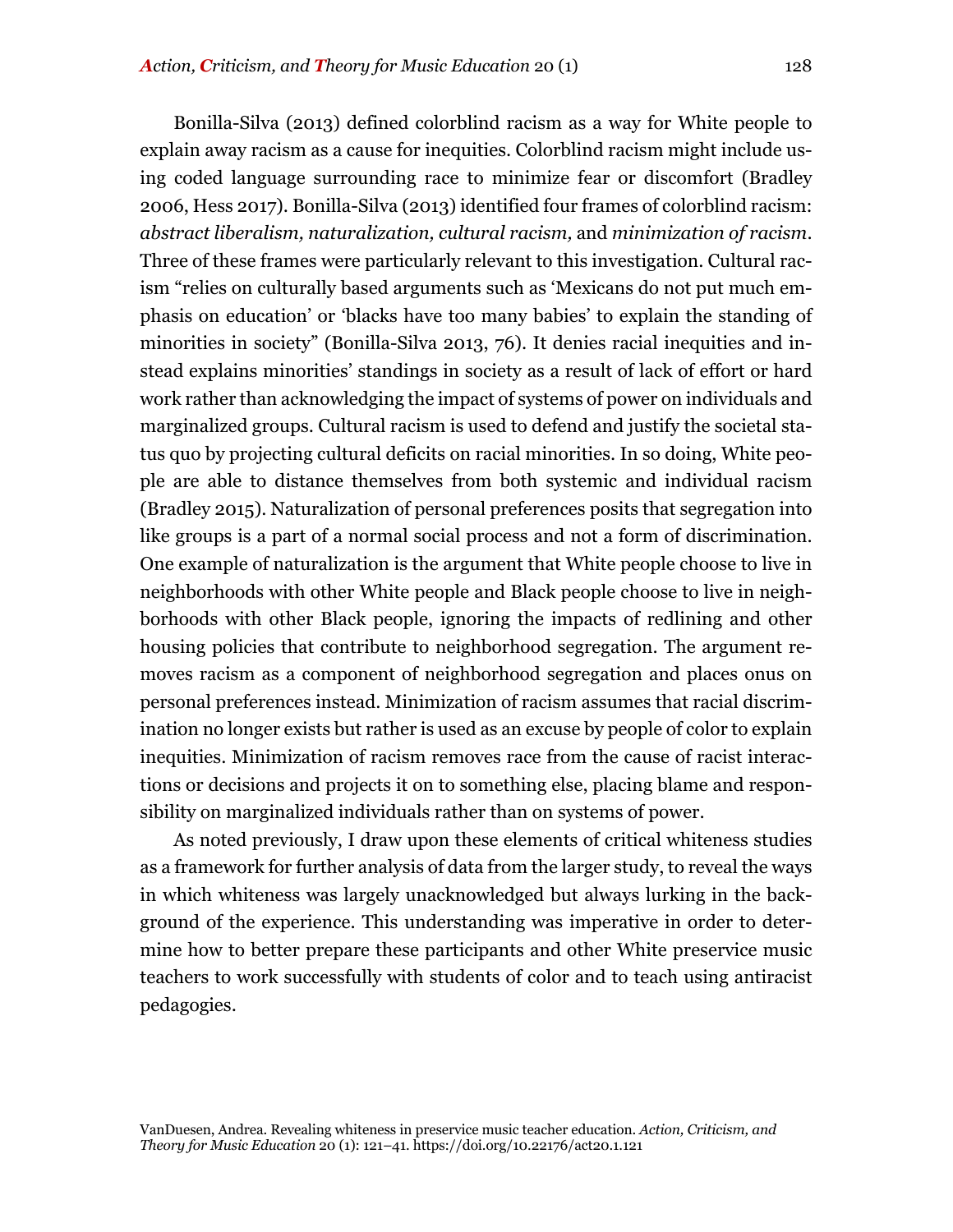Bonilla-Silva (2013) defined colorblind racism as a way for White people to explain away racism as a cause for inequities. Colorblind racism might include using coded language surrounding race to minimize fear or discomfort (Bradley 2006, Hess 2017). Bonilla-Silva (2013) identified four frames of colorblind racism: *abstract liberalism, naturalization, cultural racism,* and *minimization of racism*. Three of these frames were particularly relevant to this investigation. Cultural racism "relies on culturally based arguments such as 'Mexicans do not put much emphasis on education' or 'blacks have too many babies' to explain the standing of minorities in society" (Bonilla-Silva 2013, 76). It denies racial inequities and instead explains minorities' standings in society as a result of lack of effort or hard work rather than acknowledging the impact of systems of power on individuals and marginalized groups. Cultural racism is used to defend and justify the societal status quo by projecting cultural deficits on racial minorities. In so doing, White people are able to distance themselves from both systemic and individual racism (Bradley 2015). Naturalization of personal preferences posits that segregation into like groups is a part of a normal social process and not a form of discrimination. One example of naturalization is the argument that White people choose to live in neighborhoods with other White people and Black people choose to live in neighborhoods with other Black people, ignoring the impacts of redlining and other housing policies that contribute to neighborhood segregation. The argument removes racism as a component of neighborhood segregation and places onus on personal preferences instead. Minimization of racism assumes that racial discrimination no longer exists but rather is used as an excuse by people of color to explain inequities. Minimization of racism removes race from the cause of racist interactions or decisions and projects it on to something else, placing blame and responsibility on marginalized individuals rather than on systems of power.

As noted previously, I draw upon these elements of critical whiteness studies as a framework for further analysis of data from the larger study, to reveal the ways in which whiteness was largely unacknowledged but always lurking in the background of the experience. This understanding was imperative in order to determine how to better prepare these participants and other White preservice music teachers to work successfully with students of color and to teach using antiracist pedagogies.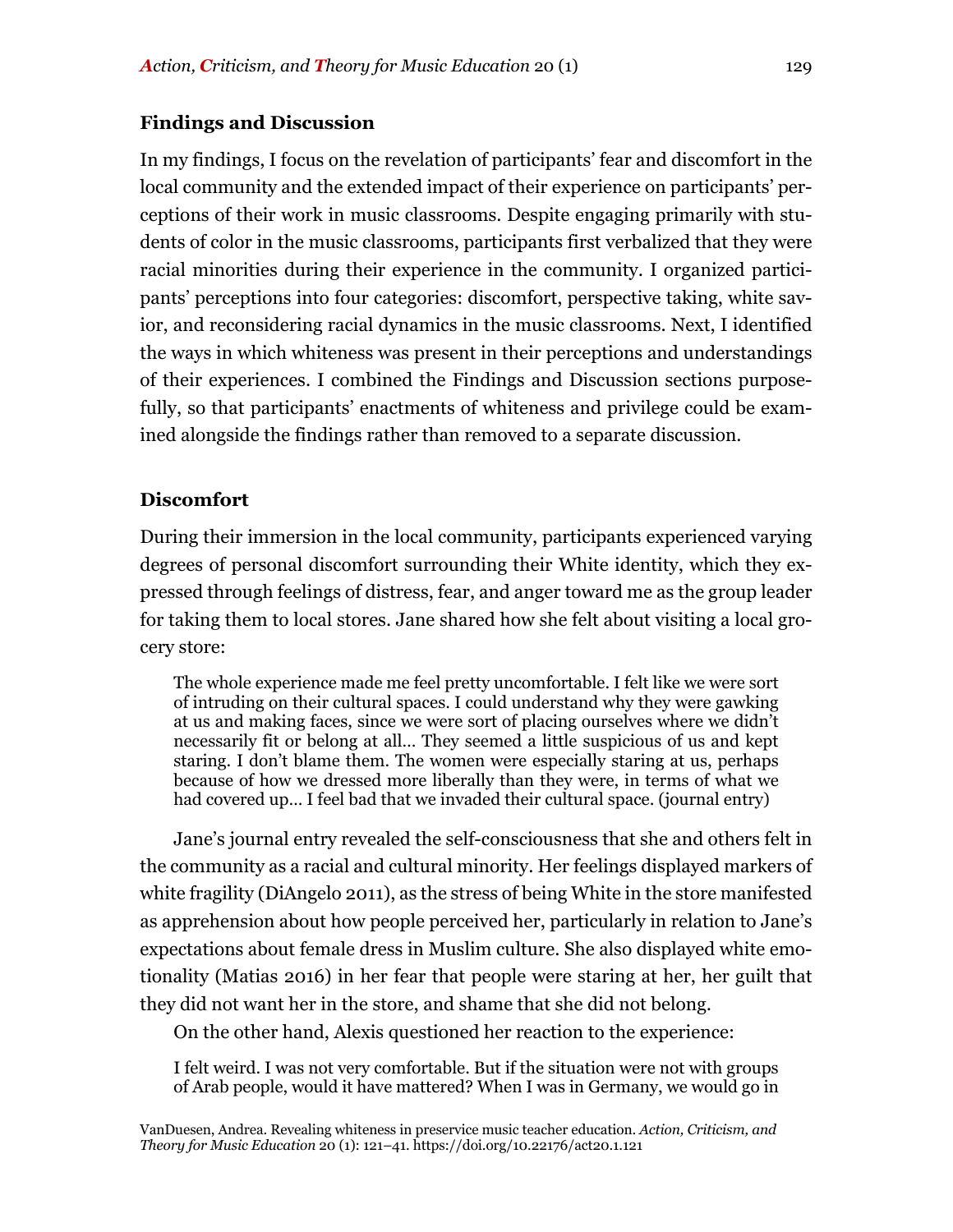## **Findings and Discussion**

In my findings, I focus on the revelation of participants' fear and discomfort in the local community and the extended impact of their experience on participants' perceptions of their work in music classrooms. Despite engaging primarily with students of color in the music classrooms, participants first verbalized that they were racial minorities during their experience in the community. I organized participants' perceptions into four categories: discomfort, perspective taking, white savior, and reconsidering racial dynamics in the music classrooms. Next, I identified the ways in which whiteness was present in their perceptions and understandings of their experiences. I combined the Findings and Discussion sections purposefully, so that participants' enactments of whiteness and privilege could be examined alongside the findings rather than removed to a separate discussion.

## **Discomfort**

During their immersion in the local community, participants experienced varying degrees of personal discomfort surrounding their White identity, which they expressed through feelings of distress, fear, and anger toward me as the group leader for taking them to local stores. Jane shared how she felt about visiting a local grocery store:

The whole experience made me feel pretty uncomfortable. I felt like we were sort of intruding on their cultural spaces. I could understand why they were gawking at us and making faces, since we were sort of placing ourselves where we didn't necessarily fit or belong at all… They seemed a little suspicious of us and kept staring. I don't blame them. The women were especially staring at us, perhaps because of how we dressed more liberally than they were, in terms of what we had covered up… I feel bad that we invaded their cultural space. (journal entry)

Jane's journal entry revealed the self-consciousness that she and others felt in the community as a racial and cultural minority. Her feelings displayed markers of white fragility (DiAngelo 2011), as the stress of being White in the store manifested as apprehension about how people perceived her, particularly in relation to Jane's expectations about female dress in Muslim culture. She also displayed white emotionality (Matias 2016) in her fear that people were staring at her, her guilt that they did not want her in the store, and shame that she did not belong.

On the other hand, Alexis questioned her reaction to the experience:

I felt weird. I was not very comfortable. But if the situation were not with groups of Arab people, would it have mattered? When I was in Germany, we would go in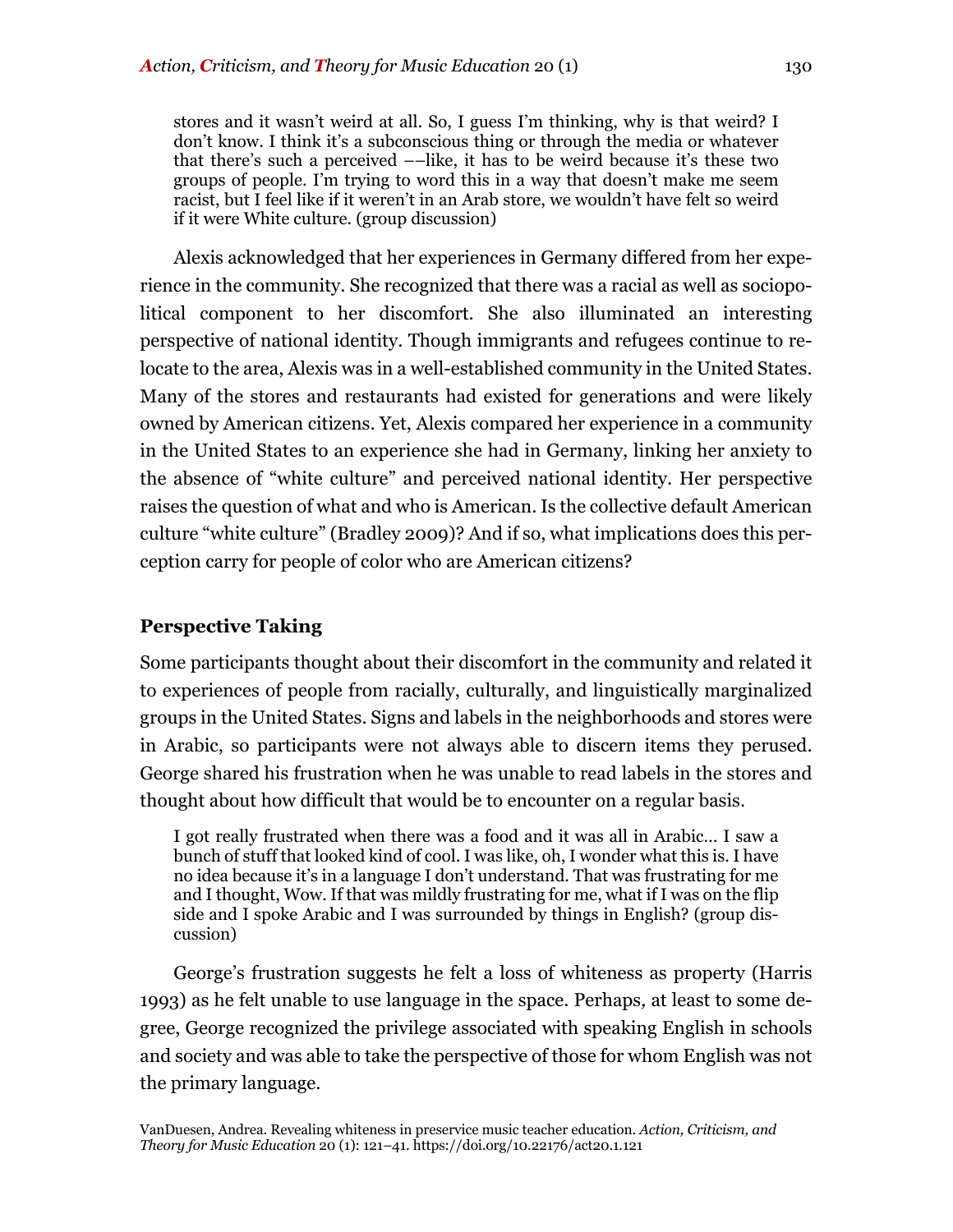stores and it wasn't weird at all. So, I guess I'm thinking, why is that weird? I don't know. I think it's a subconscious thing or through the media or whatever that there's such a perceived ––like, it has to be weird because it's these two groups of people. I'm trying to word this in a way that doesn't make me seem racist, but I feel like if it weren't in an Arab store, we wouldn't have felt so weird if it were White culture. (group discussion)

Alexis acknowledged that her experiences in Germany differed from her experience in the community. She recognized that there was a racial as well as sociopolitical component to her discomfort. She also illuminated an interesting perspective of national identity. Though immigrants and refugees continue to relocate to the area, Alexis was in a well-established community in the United States. Many of the stores and restaurants had existed for generations and were likely owned by American citizens. Yet, Alexis compared her experience in a community in the United States to an experience she had in Germany, linking her anxiety to the absence of "white culture" and perceived national identity. Her perspective raises the question of what and who is American. Is the collective default American culture "white culture" (Bradley 2009)? And if so, what implications does this perception carry for people of color who are American citizens?

## **Perspective Taking**

Some participants thought about their discomfort in the community and related it to experiences of people from racially, culturally, and linguistically marginalized groups in the United States. Signs and labels in the neighborhoods and stores were in Arabic, so participants were not always able to discern items they perused. George shared his frustration when he was unable to read labels in the stores and thought about how difficult that would be to encounter on a regular basis.

I got really frustrated when there was a food and it was all in Arabic… I saw a bunch of stuff that looked kind of cool. I was like, oh, I wonder what this is. I have no idea because it's in a language I don't understand. That was frustrating for me and I thought, Wow. If that was mildly frustrating for me, what if I was on the flip side and I spoke Arabic and I was surrounded by things in English? (group discussion)

George's frustration suggests he felt a loss of whiteness as property (Harris 1993) as he felt unable to use language in the space. Perhaps*,* at least to some degree, George recognized the privilege associated with speaking English in schools and society and was able to take the perspective of those for whom English was not the primary language.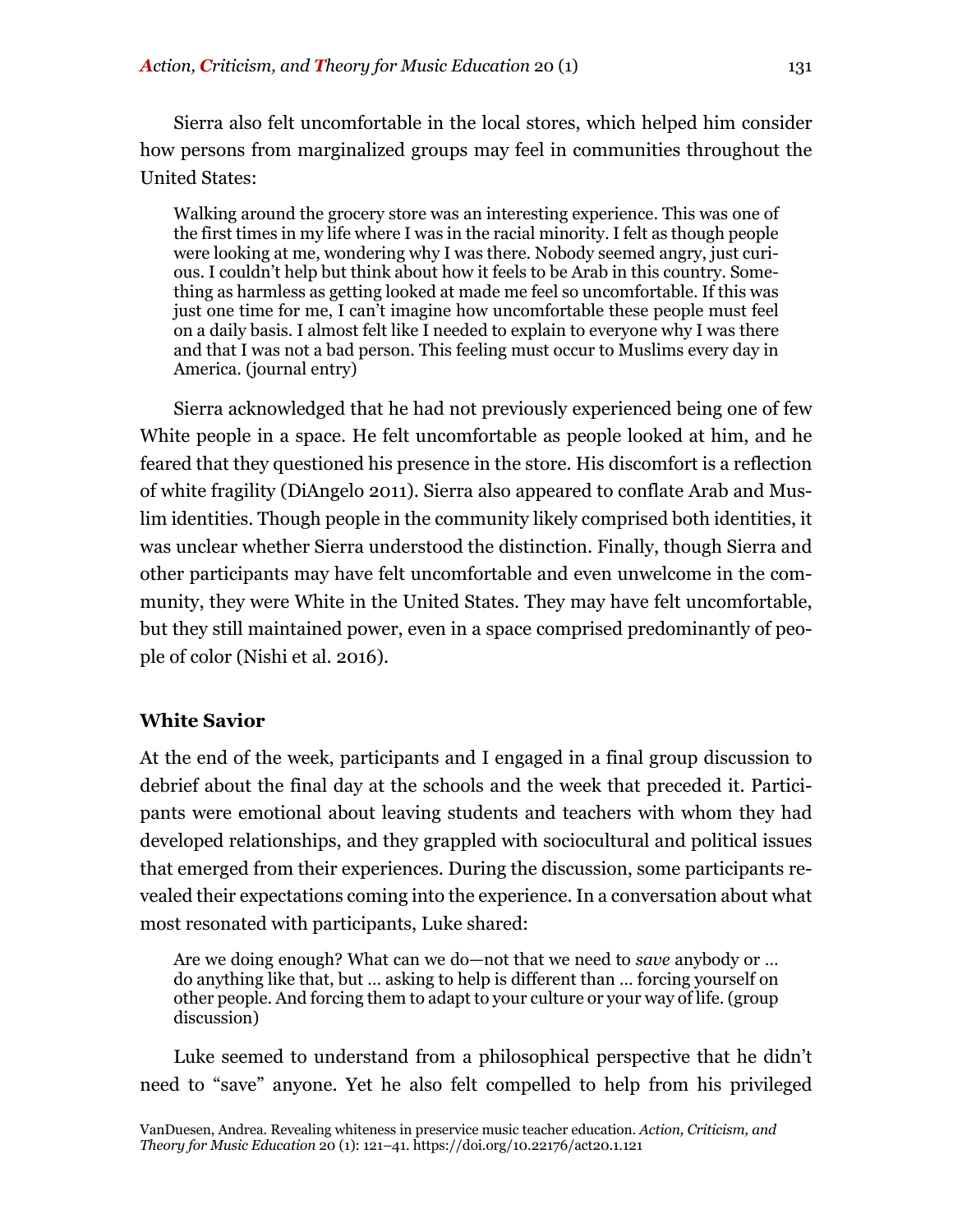Sierra also felt uncomfortable in the local stores, which helped him consider

how persons from marginalized groups may feel in communities throughout the United States:

Walking around the grocery store was an interesting experience. This was one of the first times in my life where I was in the racial minority. I felt as though people were looking at me, wondering why I was there. Nobody seemed angry, just curious. I couldn't help but think about how it feels to be Arab in this country. Something as harmless as getting looked at made me feel so uncomfortable. If this was just one time for me, I can't imagine how uncomfortable these people must feel on a daily basis. I almost felt like I needed to explain to everyone why I was there and that I was not a bad person. This feeling must occur to Muslims every day in America. (journal entry)

Sierra acknowledged that he had not previously experienced being one of few White people in a space. He felt uncomfortable as people looked at him, and he feared that they questioned his presence in the store. His discomfort is a reflection of white fragility (DiAngelo 2011). Sierra also appeared to conflate Arab and Muslim identities. Though people in the community likely comprised both identities, it was unclear whether Sierra understood the distinction. Finally, though Sierra and other participants may have felt uncomfortable and even unwelcome in the community, they were White in the United States. They may have felt uncomfortable, but they still maintained power, even in a space comprised predominantly of people of color (Nishi et al. 2016).

## **White Savior**

At the end of the week, participants and I engaged in a final group discussion to debrief about the final day at the schools and the week that preceded it. Participants were emotional about leaving students and teachers with whom they had developed relationships, and they grappled with sociocultural and political issues that emerged from their experiences. During the discussion, some participants revealed their expectations coming into the experience. In a conversation about what most resonated with participants, Luke shared:

Are we doing enough? What can we do—not that we need to *save* anybody or … do anything like that, but … asking to help is different than … forcing yourself on other people. And forcing them to adapt to your culture or your way of life. (group discussion)

Luke seemed to understand from a philosophical perspective that he didn't need to "save" anyone. Yet he also felt compelled to help from his privileged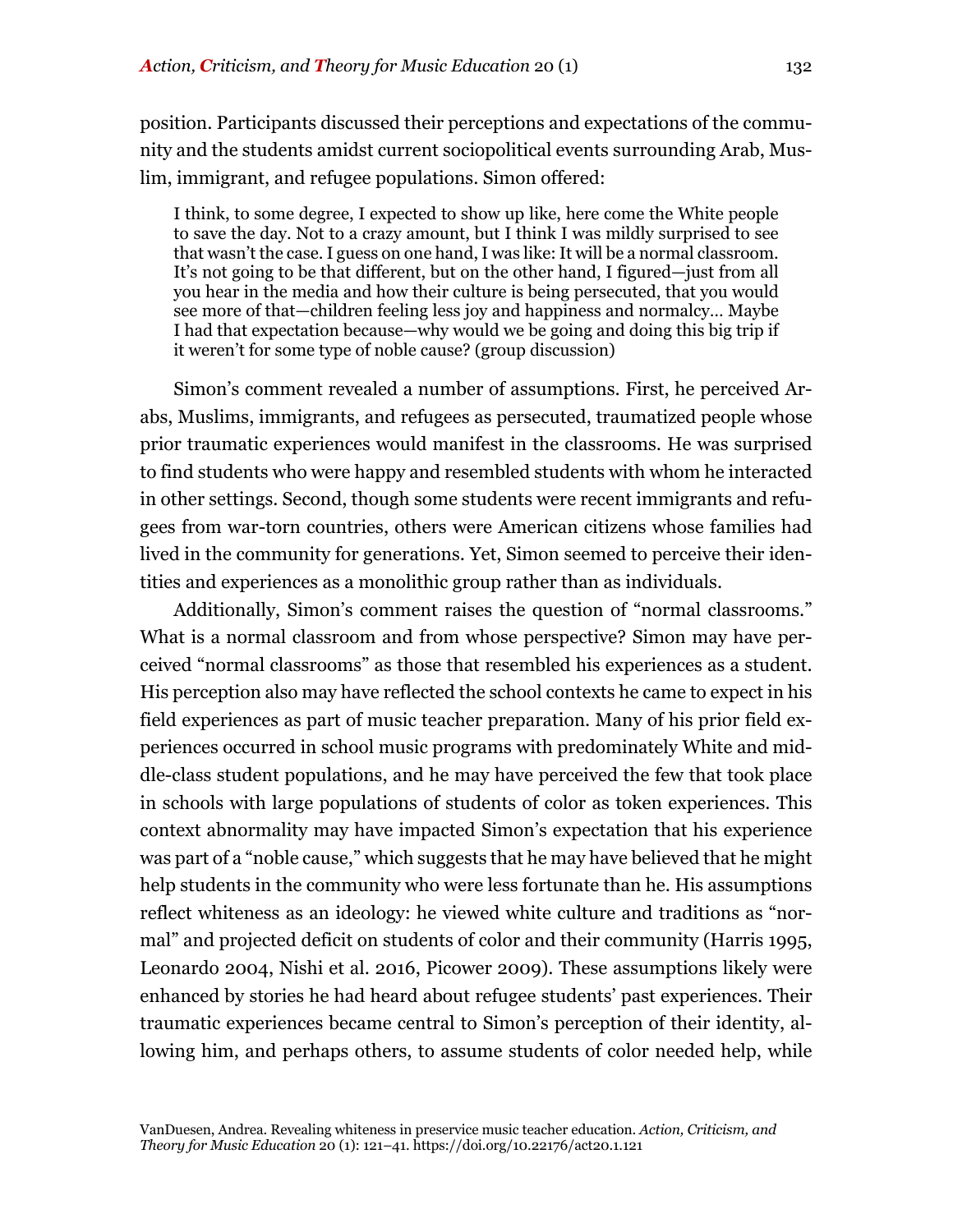position. Participants discussed their perceptions and expectations of the community and the students amidst current sociopolitical events surrounding Arab, Muslim, immigrant, and refugee populations. Simon offered:

I think, to some degree, I expected to show up like, here come the White people to save the day. Not to a crazy amount, but I think I was mildly surprised to see that wasn't the case. I guess on one hand, I was like: It will be a normal classroom. It's not going to be that different, but on the other hand, I figured—just from all you hear in the media and how their culture is being persecuted, that you would see more of that—children feeling less joy and happiness and normalcy… Maybe I had that expectation because—why would we be going and doing this big trip if it weren't for some type of noble cause? (group discussion)

Simon's comment revealed a number of assumptions. First, he perceived Arabs, Muslims, immigrants, and refugees as persecuted, traumatized people whose prior traumatic experiences would manifest in the classrooms. He was surprised to find students who were happy and resembled students with whom he interacted in other settings. Second, though some students were recent immigrants and refugees from war-torn countries, others were American citizens whose families had lived in the community for generations. Yet, Simon seemed to perceive their identities and experiences as a monolithic group rather than as individuals.

Additionally, Simon's comment raises the question of "normal classrooms." What is a normal classroom and from whose perspective? Simon may have perceived "normal classrooms" as those that resembled his experiences as a student. His perception also may have reflected the school contexts he came to expect in his field experiences as part of music teacher preparation. Many of his prior field experiences occurred in school music programs with predominately White and middle-class student populations, and he may have perceived the few that took place in schools with large populations of students of color as token experiences. This context abnormality may have impacted Simon's expectation that his experience was part of a "noble cause," which suggests that he may have believed that he might help students in the community who were less fortunate than he. His assumptions reflect whiteness as an ideology: he viewed white culture and traditions as "normal" and projected deficit on students of color and their community (Harris 1995, Leonardo 2004, Nishi et al. 2016, Picower 2009). These assumptions likely were enhanced by stories he had heard about refugee students' past experiences. Their traumatic experiences became central to Simon's perception of their identity, allowing him, and perhaps others, to assume students of color needed help, while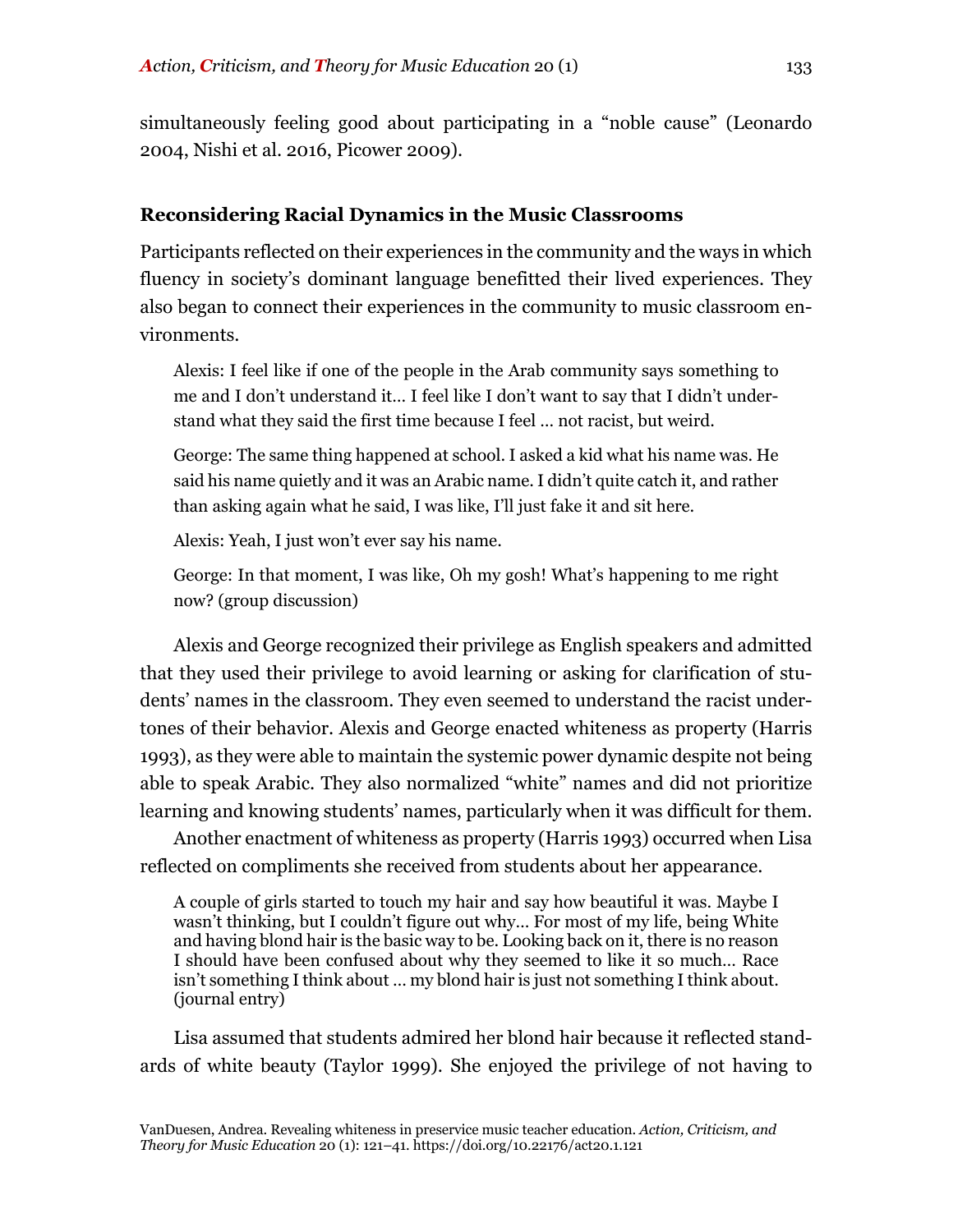simultaneously feeling good about participating in a "noble cause" (Leonardo 2004, Nishi et al. 2016, Picower 2009).

## **Reconsidering Racial Dynamics in the Music Classrooms**

Participants reflected on their experiences in the community and the ways in which fluency in society's dominant language benefitted their lived experiences. They also began to connect their experiences in the community to music classroom environments.

Alexis: I feel like if one of the people in the Arab community says something to me and I don't understand it… I feel like I don't want to say that I didn't understand what they said the first time because I feel … not racist, but weird.

George: The same thing happened at school. I asked a kid what his name was. He said his name quietly and it was an Arabic name. I didn't quite catch it, and rather than asking again what he said, I was like, I'll just fake it and sit here.

Alexis: Yeah, I just won't ever say his name.

George: In that moment, I was like, Oh my gosh! What's happening to me right now? (group discussion)

Alexis and George recognized their privilege as English speakers and admitted that they used their privilege to avoid learning or asking for clarification of students' names in the classroom. They even seemed to understand the racist undertones of their behavior. Alexis and George enacted whiteness as property (Harris 1993), as they were able to maintain the systemic power dynamic despite not being able to speak Arabic. They also normalized "white" names and did not prioritize learning and knowing students' names, particularly when it was difficult for them.

Another enactment of whiteness as property (Harris 1993) occurred when Lisa reflected on compliments she received from students about her appearance.

A couple of girls started to touch my hair and say how beautiful it was. Maybe I wasn't thinking, but I couldn't figure out why… For most of my life, being White and having blond hair is the basic way to be. Looking back on it, there is no reason I should have been confused about why they seemed to like it so much… Race isn't something I think about … my blond hair is just not something I think about. (journal entry)

Lisa assumed that students admired her blond hair because it reflected standards of white beauty (Taylor 1999). She enjoyed the privilege of not having to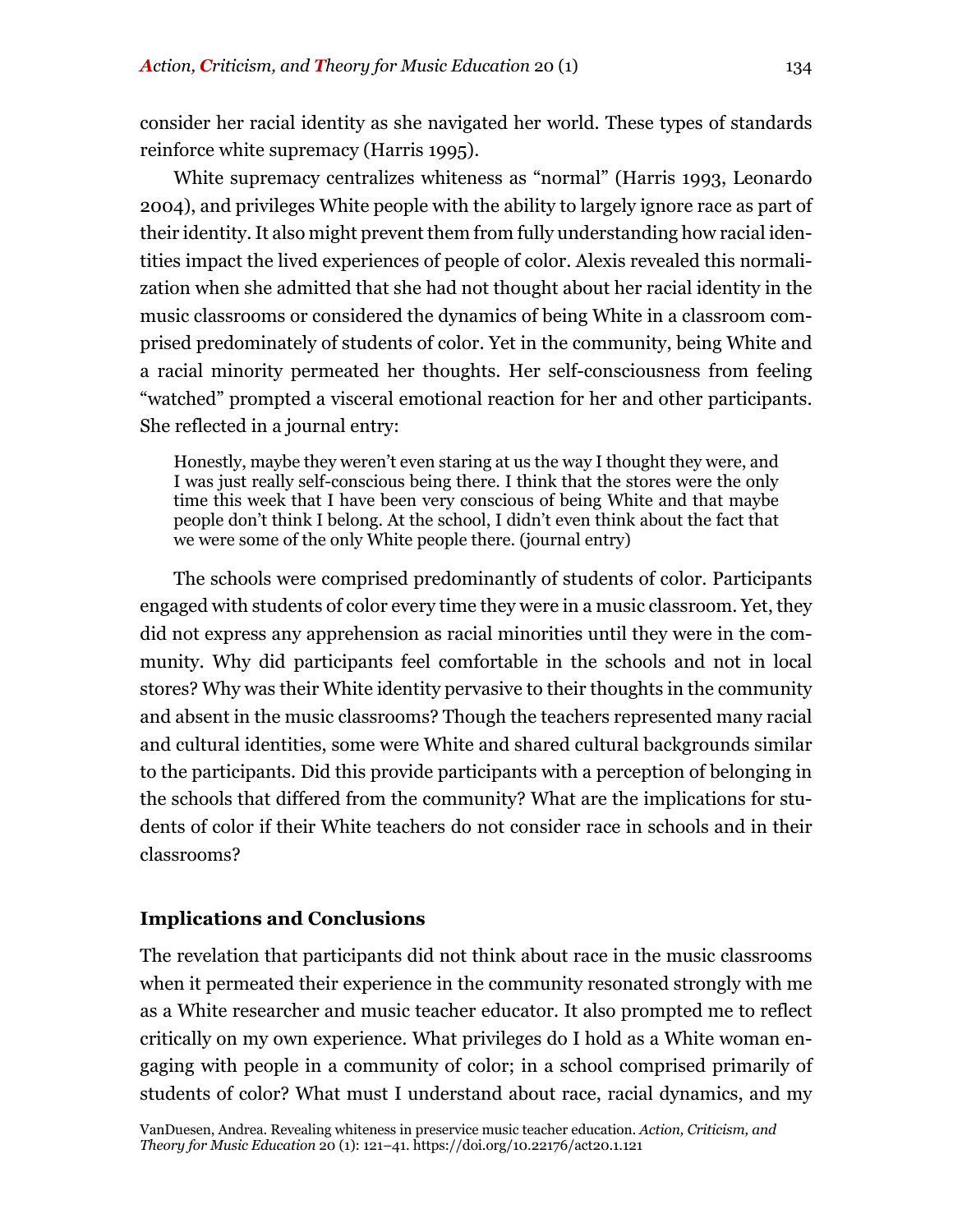consider her racial identity as she navigated her world. These types of standards reinforce white supremacy (Harris 1995).

White supremacy centralizes whiteness as "normal" (Harris 1993, Leonardo 2004), and privileges White people with the ability to largely ignore race as part of their identity. It also might prevent them from fully understanding how racial identities impact the lived experiences of people of color. Alexis revealed this normalization when she admitted that she had not thought about her racial identity in the music classrooms or considered the dynamics of being White in a classroom comprised predominately of students of color. Yet in the community, being White and a racial minority permeated her thoughts. Her self-consciousness from feeling "watched" prompted a visceral emotional reaction for her and other participants. She reflected in a journal entry:

Honestly, maybe they weren't even staring at us the way I thought they were, and I was just really self-conscious being there. I think that the stores were the only time this week that I have been very conscious of being White and that maybe people don't think I belong. At the school, I didn't even think about the fact that we were some of the only White people there. (journal entry)

The schools were comprised predominantly of students of color. Participants engaged with students of color every time they were in a music classroom. Yet, they did not express any apprehension as racial minorities until they were in the community. Why did participants feel comfortable in the schools and not in local stores? Why was their White identity pervasive to their thoughts in the community and absent in the music classrooms? Though the teachers represented many racial and cultural identities, some were White and shared cultural backgrounds similar to the participants. Did this provide participants with a perception of belonging in the schools that differed from the community? What are the implications for students of color if their White teachers do not consider race in schools and in their classrooms?

## **Implications and Conclusions**

The revelation that participants did not think about race in the music classrooms when it permeated their experience in the community resonated strongly with me as a White researcher and music teacher educator. It also prompted me to reflect critically on my own experience. What privileges do I hold as a White woman engaging with people in a community of color; in a school comprised primarily of students of color? What must I understand about race, racial dynamics, and my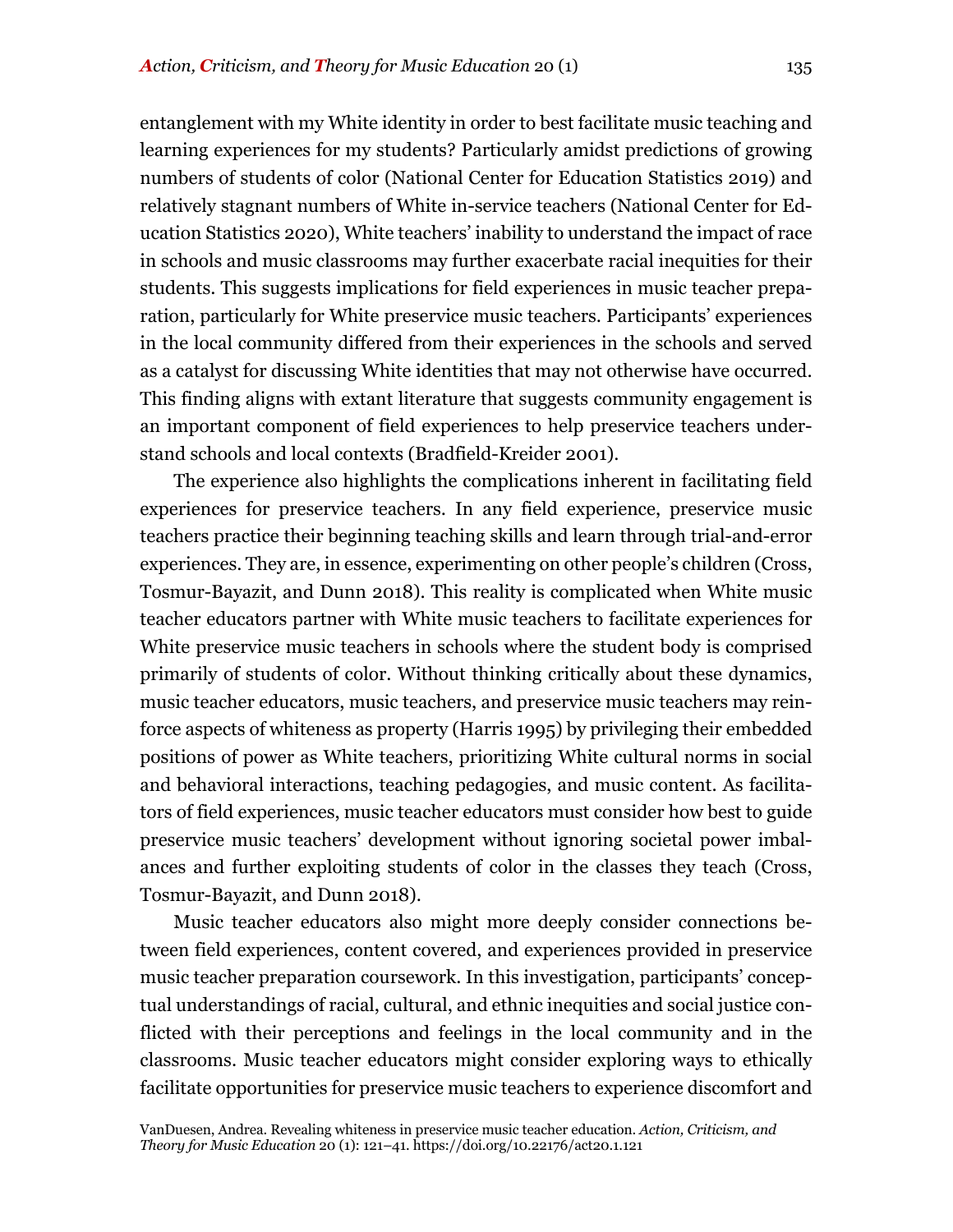entanglement with my White identity in order to best facilitate music teaching and learning experiences for my students? Particularly amidst predictions of growing numbers of students of color (National Center for Education Statistics 2019) and relatively stagnant numbers of White in-service teachers (National Center for Education Statistics 2020), White teachers' inability to understand the impact of race in schools and music classrooms may further exacerbate racial inequities for their students. This suggests implications for field experiences in music teacher preparation, particularly for White preservice music teachers. Participants' experiences in the local community differed from their experiences in the schools and served as a catalyst for discussing White identities that may not otherwise have occurred. This finding aligns with extant literature that suggests community engagement is an important component of field experiences to help preservice teachers understand schools and local contexts (Bradfield-Kreider 2001).

The experience also highlights the complications inherent in facilitating field experiences for preservice teachers. In any field experience, preservice music teachers practice their beginning teaching skills and learn through trial-and-error experiences. They are, in essence, experimenting on other people's children (Cross, Tosmur-Bayazit, and Dunn 2018). This reality is complicated when White music teacher educators partner with White music teachers to facilitate experiences for White preservice music teachers in schools where the student body is comprised primarily of students of color. Without thinking critically about these dynamics, music teacher educators, music teachers, and preservice music teachers may reinforce aspects of whiteness as property (Harris 1995) by privileging their embedded positions of power as White teachers, prioritizing White cultural norms in social and behavioral interactions, teaching pedagogies, and music content. As facilitators of field experiences, music teacher educators must consider how best to guide preservice music teachers' development without ignoring societal power imbalances and further exploiting students of color in the classes they teach (Cross, Tosmur-Bayazit, and Dunn 2018).

Music teacher educators also might more deeply consider connections between field experiences, content covered, and experiences provided in preservice music teacher preparation coursework. In this investigation, participants' conceptual understandings of racial, cultural, and ethnic inequities and social justice conflicted with their perceptions and feelings in the local community and in the classrooms. Music teacher educators might consider exploring ways to ethically facilitate opportunities for preservice music teachers to experience discomfort and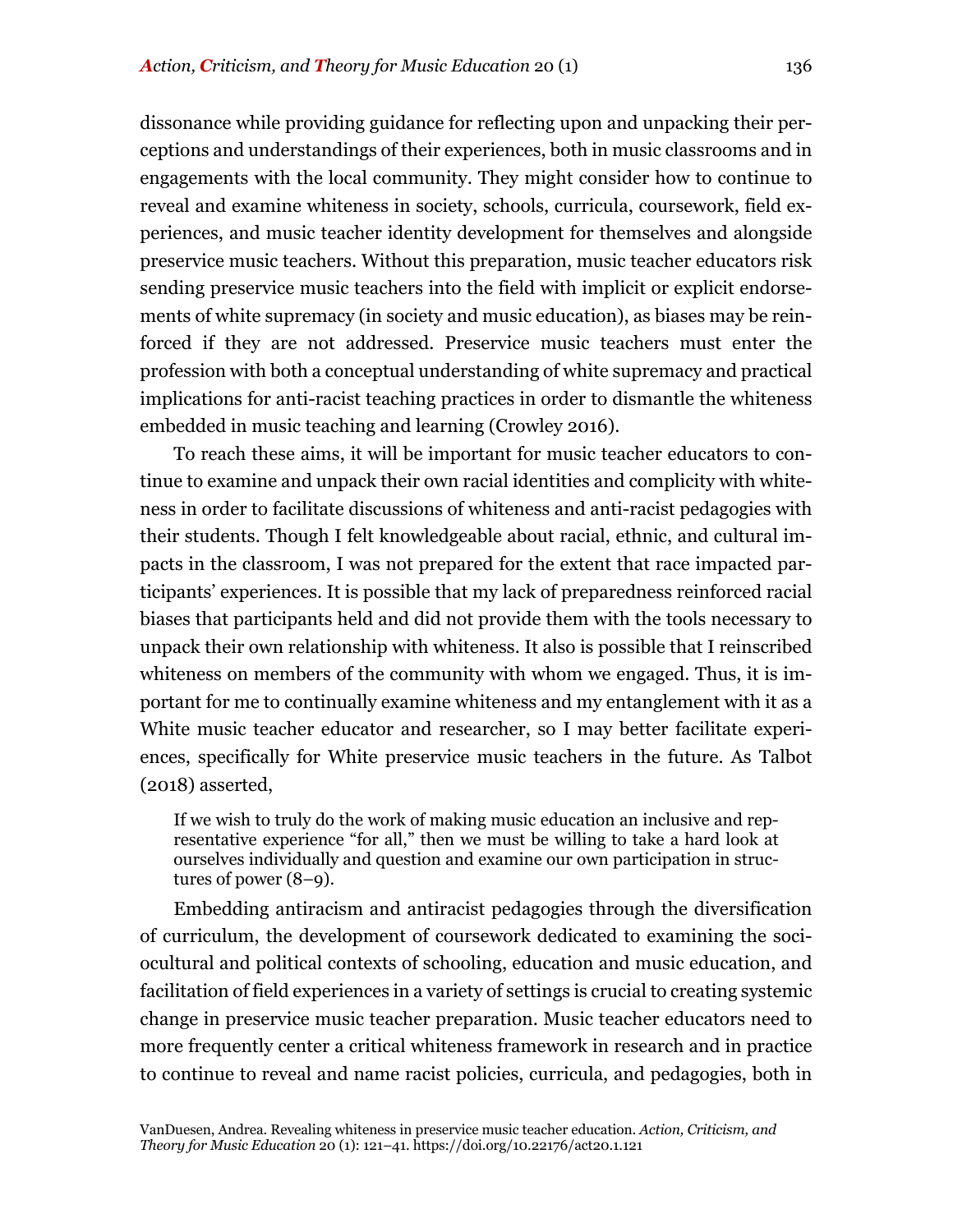dissonance while providing guidance for reflecting upon and unpacking their perceptions and understandings of their experiences, both in music classrooms and in engagements with the local community. They might consider how to continue to reveal and examine whiteness in society, schools, curricula, coursework, field experiences, and music teacher identity development for themselves and alongside preservice music teachers. Without this preparation, music teacher educators risk sending preservice music teachers into the field with implicit or explicit endorsements of white supremacy (in society and music education), as biases may be reinforced if they are not addressed. Preservice music teachers must enter the profession with both a conceptual understanding of white supremacy and practical implications for anti-racist teaching practices in order to dismantle the whiteness embedded in music teaching and learning (Crowley 2016).

To reach these aims, it will be important for music teacher educators to continue to examine and unpack their own racial identities and complicity with whiteness in order to facilitate discussions of whiteness and anti-racist pedagogies with their students. Though I felt knowledgeable about racial, ethnic, and cultural impacts in the classroom, I was not prepared for the extent that race impacted participants' experiences. It is possible that my lack of preparedness reinforced racial biases that participants held and did not provide them with the tools necessary to unpack their own relationship with whiteness. It also is possible that I reinscribed whiteness on members of the community with whom we engaged. Thus, it is important for me to continually examine whiteness and my entanglement with it as a White music teacher educator and researcher, so I may better facilitate experiences, specifically for White preservice music teachers in the future. As Talbot (2018) asserted,

If we wish to truly do the work of making music education an inclusive and representative experience "for all," then we must be willing to take a hard look at ourselves individually and question and examine our own participation in structures of power (8–9).

Embedding antiracism and antiracist pedagogies through the diversification of curriculum, the development of coursework dedicated to examining the sociocultural and political contexts of schooling, education and music education, and facilitation of field experiences in a variety of settings is crucial to creating systemic change in preservice music teacher preparation. Music teacher educators need to more frequently center a critical whiteness framework in research and in practice to continue to reveal and name racist policies, curricula, and pedagogies, both in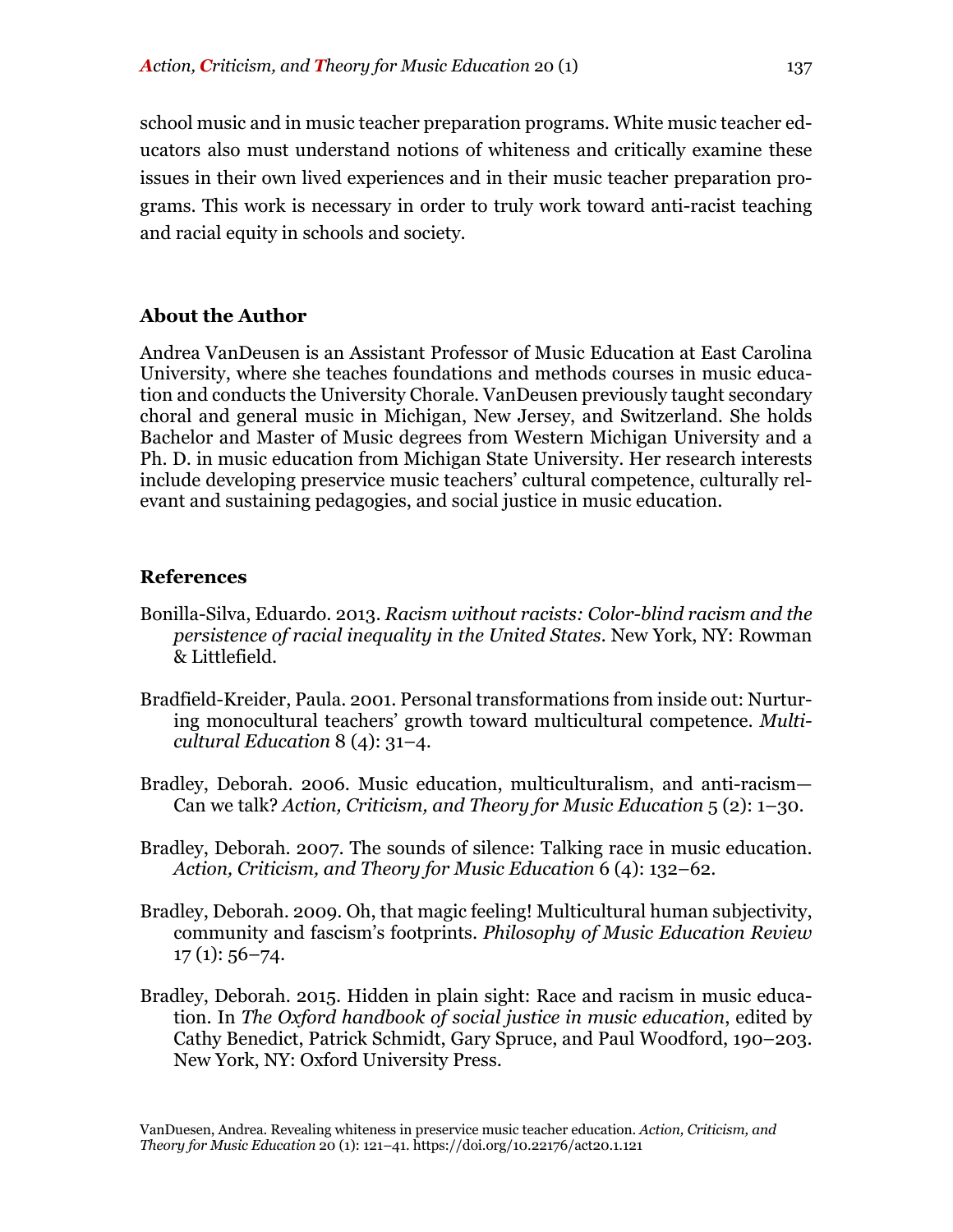school music and in music teacher preparation programs. White music teacher educators also must understand notions of whiteness and critically examine these issues in their own lived experiences and in their music teacher preparation programs. This work is necessary in order to truly work toward anti-racist teaching and racial equity in schools and society.

### **About the Author**

Andrea VanDeusen is an Assistant Professor of Music Education at East Carolina University, where she teaches foundations and methods courses in music education and conducts the University Chorale. VanDeusen previously taught secondary choral and general music in Michigan, New Jersey, and Switzerland. She holds Bachelor and Master of Music degrees from Western Michigan University and a Ph. D. in music education from Michigan State University. Her research interests include developing preservice music teachers' cultural competence, culturally relevant and sustaining pedagogies, and social justice in music education.

#### **References**

- Bonilla-Silva, Eduardo. 2013. *Racism without racists: Color-blind racism and the persistence of racial inequality in the United States.* New York, NY: Rowman & Littlefield.
- Bradfield-Kreider, Paula. 2001. Personal transformations from inside out: Nurturing monocultural teachers' growth toward multicultural competence. *Multicultural Education* 8 (4): 31–4.
- Bradley, Deborah. 2006. Music education, multiculturalism, and anti-racism— Can we talk? *Action, Criticism, and Theory for Music Education*  $5(2)$ : 1–30.
- Bradley, Deborah. 2007. The sounds of silence: Talking race in music education. *Action, Criticism, and Theory for Music Education* 6 (4): 132–62.
- Bradley, Deborah. 2009. Oh, that magic feeling! Multicultural human subjectivity, community and fascism's footprints. *Philosophy of Music Education Review*  $17(1): 56 - 74.$
- Bradley, Deborah. 2015. Hidden in plain sight: Race and racism in music education. In *The Oxford handbook of social justice in music education*, edited by Cathy Benedict, Patrick Schmidt, Gary Spruce, and Paul Woodford, 190–203. New York, NY: Oxford University Press.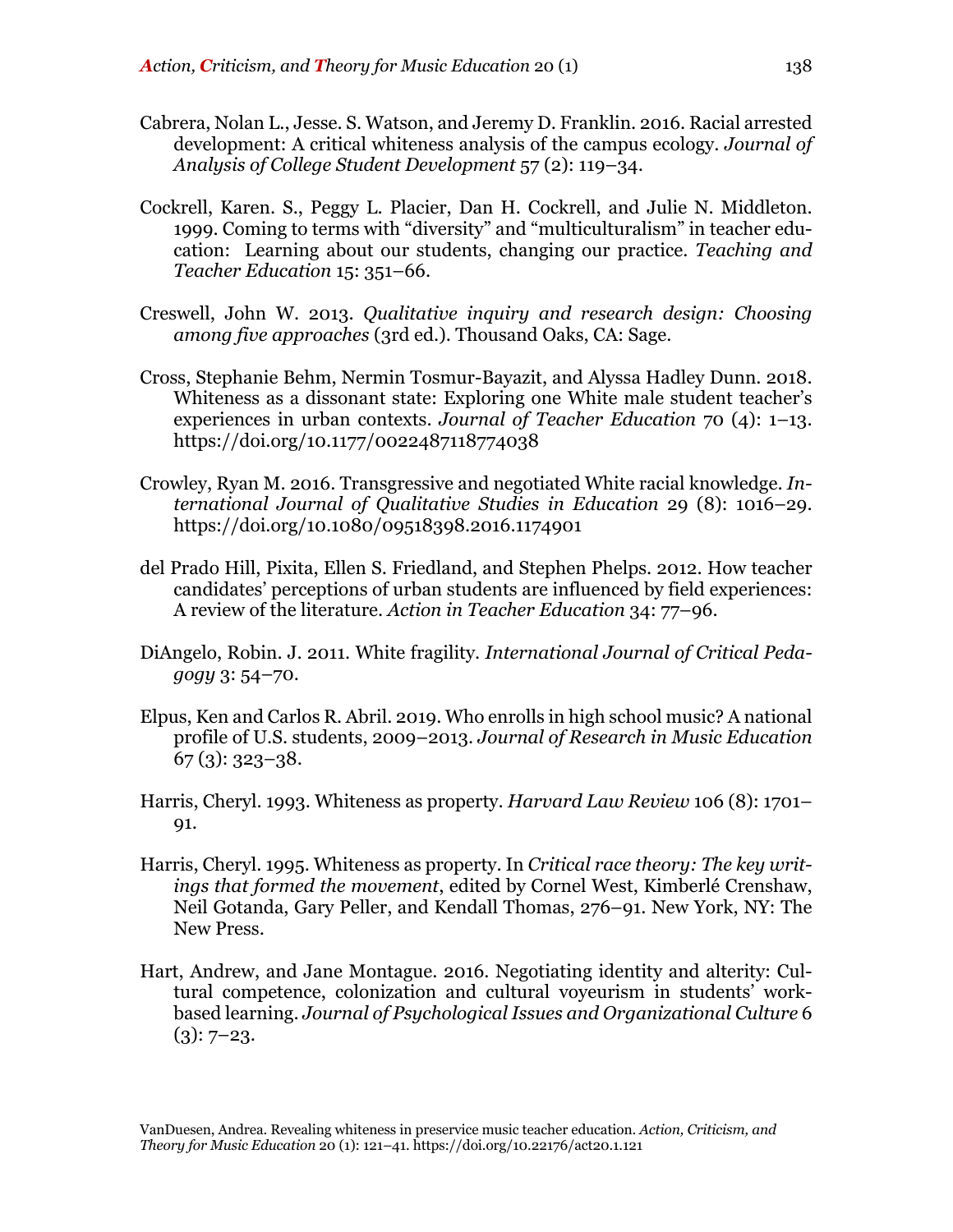- Cabrera, Nolan L., Jesse. S. Watson, and Jeremy D. Franklin. 2016. Racial arrested development: A critical whiteness analysis of the campus ecology. *Journal of Analysis of College Student Development* 57 (2): 119–34.
- Cockrell, Karen. S., Peggy L. Placier, Dan H. Cockrell, and Julie N. Middleton. 1999. Coming to terms with "diversity" and "multiculturalism" in teacher education: Learning about our students, changing our practice. *Teaching and Teacher Education* 15: 351–66.
- Creswell, John W. 2013. *Qualitative inquiry and research design: Choosing among five approaches* (3rd ed.). Thousand Oaks, CA: Sage.
- Cross, Stephanie Behm, Nermin Tosmur-Bayazit, and Alyssa Hadley Dunn. 2018. Whiteness as a dissonant state: Exploring one White male student teacher's experiences in urban contexts. *Journal of Teacher Education* 70 (4): 1–13. https://doi.org/10.1177/0022487118774038
- Crowley, Ryan M. 2016. Transgressive and negotiated White racial knowledge. *International Journal of Qualitative Studies in Education* 29 (8): 1016–29. https://doi.org/10.1080/09518398.2016.1174901
- del Prado Hill, Pixita, Ellen S. Friedland, and Stephen Phelps. 2012. How teacher candidates' perceptions of urban students are influenced by field experiences: A review of the literature. *Action in Teacher Education* 34: 77–96.
- DiAngelo, Robin. J. 2011. White fragility. *International Journal of Critical Pedagogy* 3: 54–70.
- Elpus, Ken and Carlos R. Abril. 2019. Who enrolls in high school music? A national profile of U.S. students, 2009–2013. *Journal of Research in Music Education* 67 (3): 323–38.
- Harris, Cheryl. 1993. Whiteness as property. *Harvard Law Review* 106 (8): 1701– 91.
- Harris, Cheryl. 1995. Whiteness as property. In *Critical race theory: The key writings that formed the movement*, edited by Cornel West, Kimberlé Crenshaw, Neil Gotanda, Gary Peller, and Kendall Thomas, 276–91. New York, NY: The New Press.
- Hart, Andrew, and Jane Montague. 2016. Negotiating identity and alterity: Cultural competence, colonization and cultural voyeurism in students' workbased learning. *Journal of Psychological Issues and Organizational Culture* 6  $(3): 7-23.$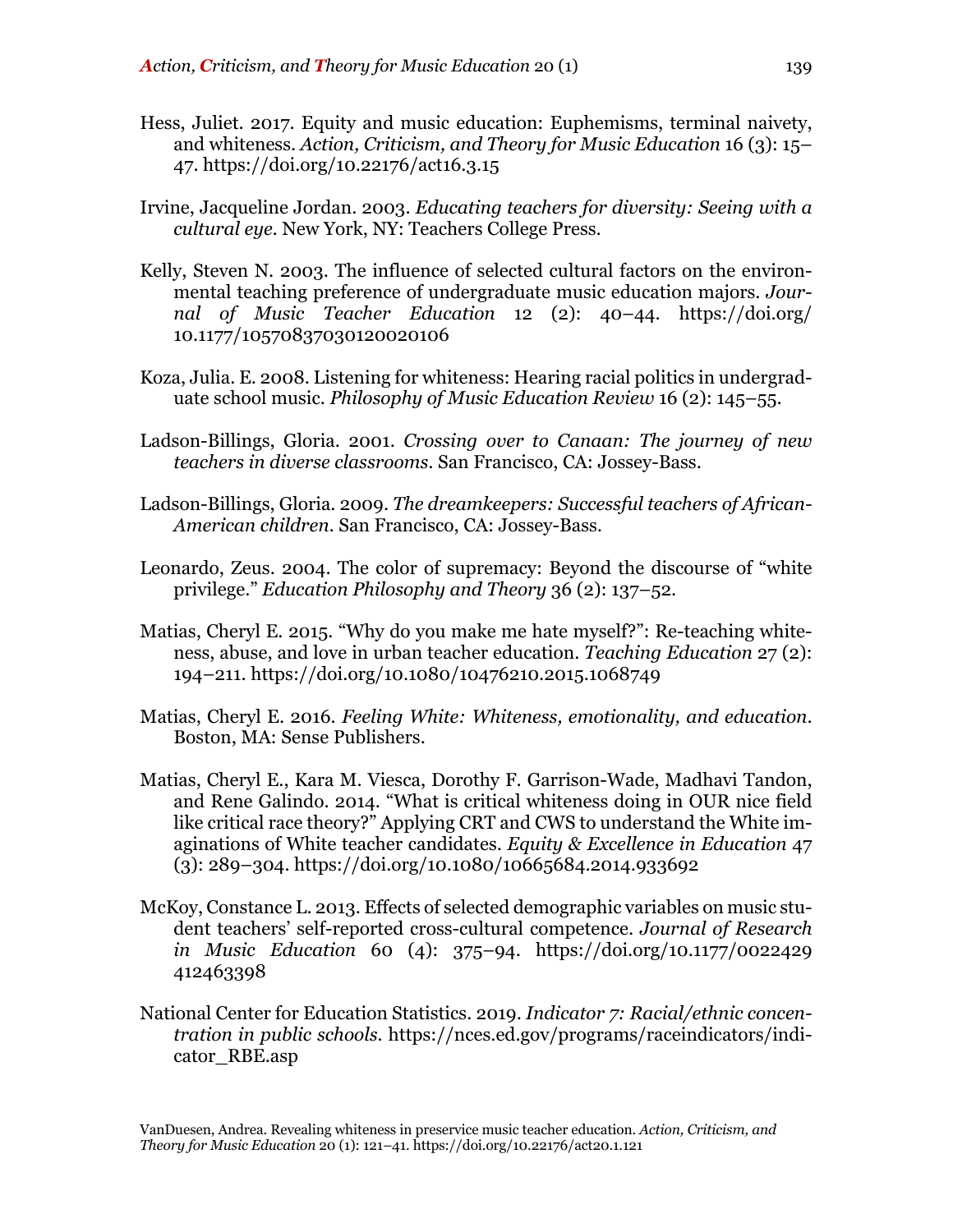- Hess, Juliet. 2017. Equity and music education: Euphemisms, terminal naivety, and whiteness. *Action, Criticism, and Theory for Music Education* 16 (3): 15– 47. https://doi.org/10.22176/act16.3.15
- Irvine, Jacqueline Jordan. 2003. *Educating teachers for diversity: Seeing with a cultural eye.* New York, NY: Teachers College Press.
- Kelly, Steven N. 2003. The influence of selected cultural factors on the environmental teaching preference of undergraduate music education majors. *Journal of Music Teacher Education* 12 (2): 40–44. https://doi.org/ 10.1177/10570837030120020106
- Koza, Julia. E. 2008. Listening for whiteness: Hearing racial politics in undergraduate school music. *Philosophy of Music Education Review* 16 (2): 145–55.
- Ladson-Billings, Gloria. 2001. *Crossing over to Canaan: The journey of new teachers in diverse classrooms.* San Francisco, CA: Jossey-Bass.
- Ladson-Billings, Gloria. 2009. *The dreamkeepers: Successful teachers of African-American children.* San Francisco, CA: Jossey-Bass.
- Leonardo, Zeus. 2004. The color of supremacy: Beyond the discourse of "white privilege." *Education Philosophy and Theory* 36 (2): 137–52.
- Matias, Cheryl E. 2015. "Why do you make me hate myself?": Re-teaching whiteness, abuse, and love in urban teacher education. *Teaching Education* 27 (2): 194–211. https://doi.org/10.1080/10476210.2015.1068749
- Matias, Cheryl E. 2016. *Feeling White: Whiteness, emotionality, and education*. Boston, MA: Sense Publishers.
- Matias, Cheryl E., Kara M. Viesca, Dorothy F. Garrison-Wade, Madhavi Tandon, and Rene Galindo. 2014. "What is critical whiteness doing in OUR nice field like critical race theory?" Applying CRT and CWS to understand the White imaginations of White teacher candidates. *Equity & Excellence in Education* 47  $(3)$ : 289–304. https://doi.org/10.1080/10665684.2014.933692
- McKoy, Constance L. 2013. Effects of selected demographic variables on music student teachers' self-reported cross-cultural competence. *Journal of Research in Music Education* 60 (4): 375–94. https://doi.org/10.1177/0022429 412463398
- National Center for Education Statistics. 2019. *Indicator 7: Racial/ethnic concentration in public schools.* https://nces.ed.gov/programs/raceindicators/indicator\_RBE.asp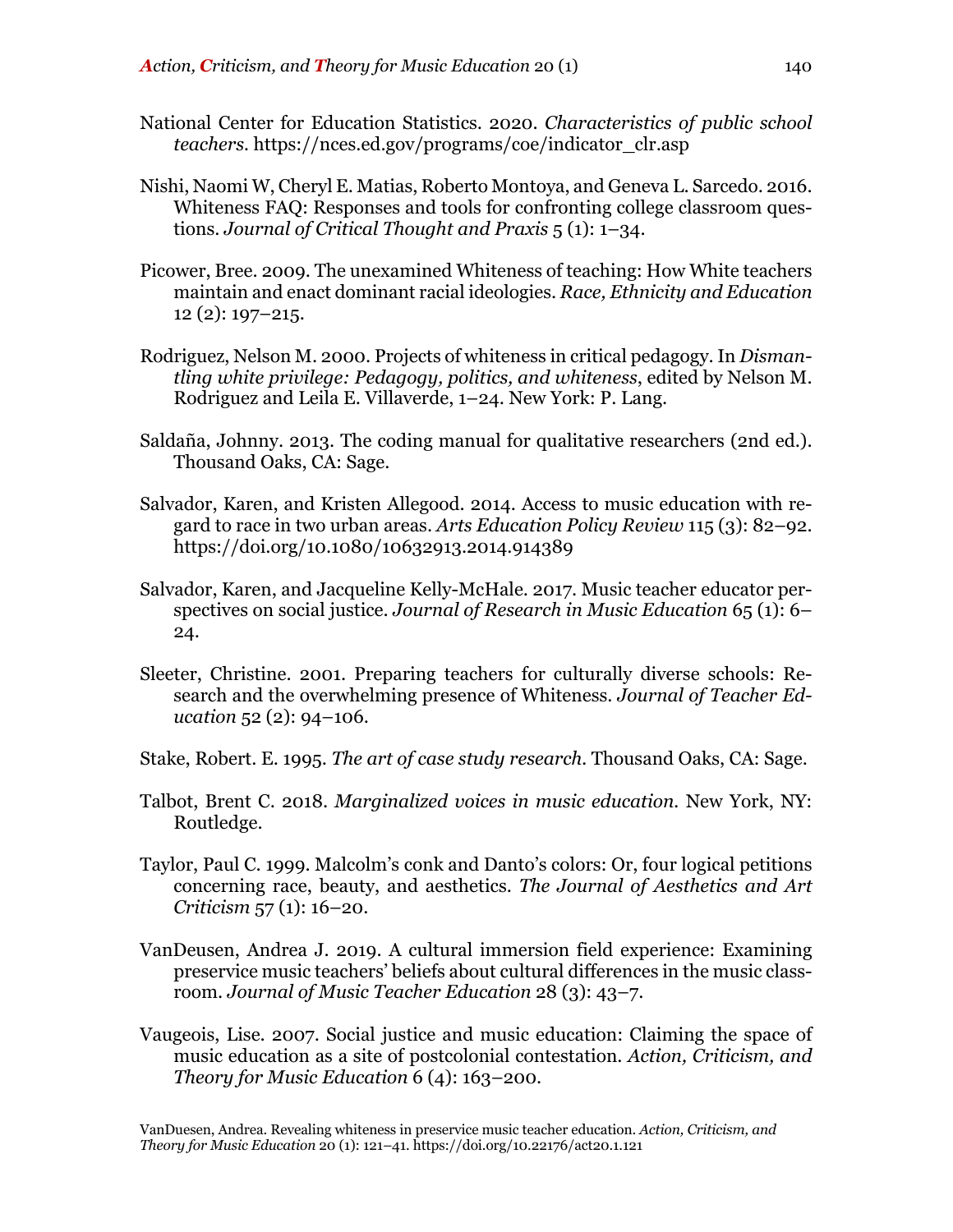- National Center for Education Statistics. 2020. *Characteristics of public school teachers.* https://nces.ed.gov/programs/coe/indicator\_clr.asp
- Nishi, Naomi W, Cheryl E. Matias, Roberto Montoya, and Geneva L. Sarcedo. 2016. Whiteness FAQ: Responses and tools for confronting college classroom questions. *Journal of Critical Thought and Praxis* 5 (1): 1–34.
- Picower, Bree. 2009. The unexamined Whiteness of teaching: How White teachers maintain and enact dominant racial ideologies. *Race, Ethnicity and Education* 12 (2): 197–215.
- Rodriguez, Nelson M. 2000. Projects of whiteness in critical pedagogy. In *Dismantling white privilege: Pedagogy, politics, and whiteness*, edited by Nelson M. Rodriguez and Leila E. Villaverde, 1–24. New York: P. Lang.
- Saldaña, Johnny. 2013. The coding manual for qualitative researchers (2nd ed.). Thousand Oaks, CA: Sage.
- Salvador, Karen, and Kristen Allegood. 2014. Access to music education with regard to race in two urban areas. *Arts Education Policy Review* 115 (3): 82–92. https://doi.org/10.1080/10632913.2014.914389
- Salvador, Karen, and Jacqueline Kelly-McHale. 2017. Music teacher educator perspectives on social justice. *Journal of Research in Music Education* 65 (1): 6– 24.
- Sleeter, Christine. 2001. Preparing teachers for culturally diverse schools: Research and the overwhelming presence of Whiteness. *Journal of Teacher Education* 52 (2): 94–106.
- Stake, Robert. E. 1995. *The art of case study research.* Thousand Oaks, CA: Sage.
- Talbot, Brent C. 2018. *Marginalized voices in music education.* New York, NY: Routledge.
- Taylor, Paul C. 1999. Malcolm's conk and Danto's colors: Or, four logical petitions concerning race, beauty, and aesthetics. *The Journal of Aesthetics and Art Criticism* 57 (1): 16–20.
- VanDeusen, Andrea J. 2019. A cultural immersion field experience: Examining preservice music teachers' beliefs about cultural differences in the music classroom. *Journal of Music Teacher Education* 28 (3): 43–7.
- Vaugeois, Lise. 2007. Social justice and music education: Claiming the space of music education as a site of postcolonial contestation. *Action, Criticism, and Theory for Music Education* 6 (4): 163–200.